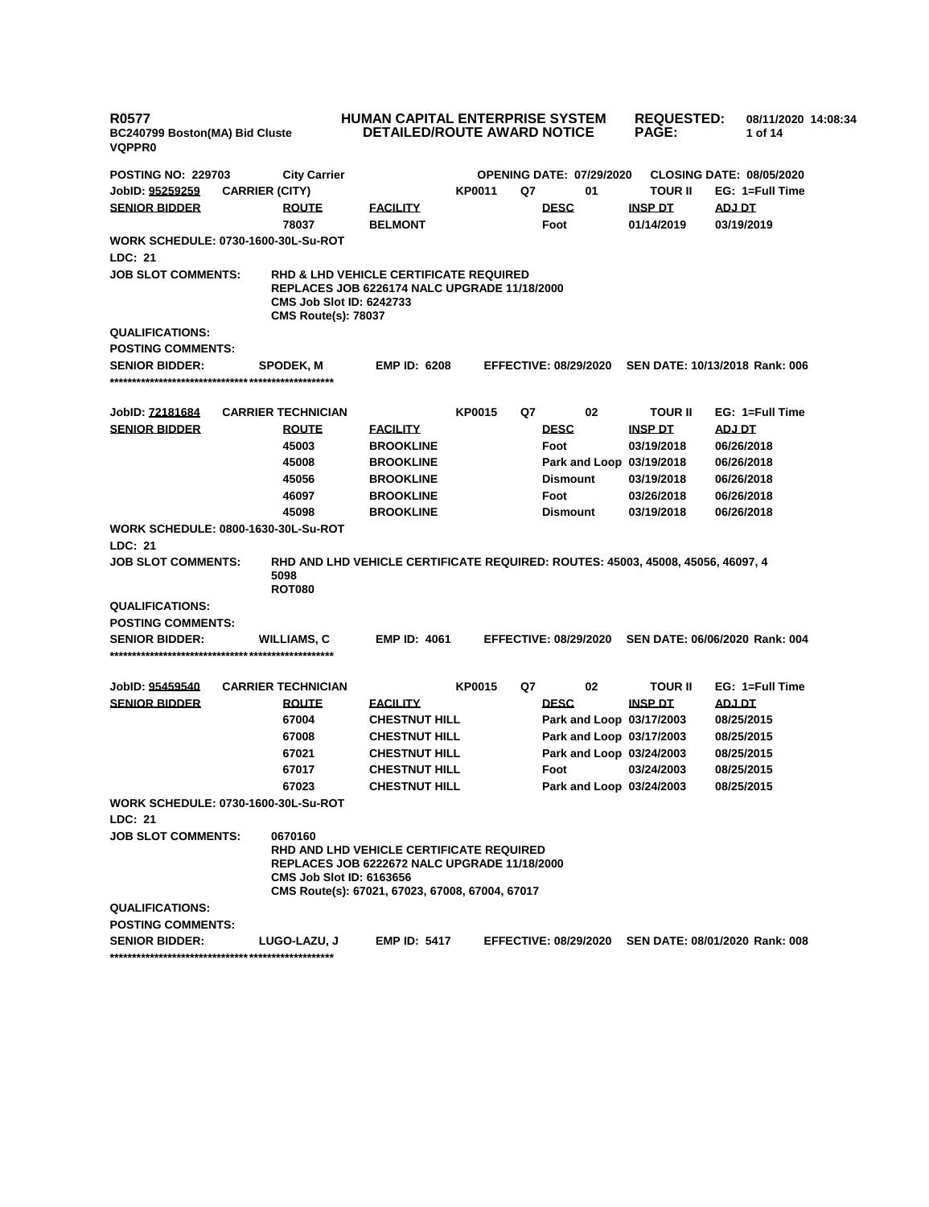| <b>R0577</b><br>BC240799 Boston(MA) Bid Cluste<br><b>VQPPR0</b> |                       |                                            |                                                                                                                                                    |               | <b>HUMAN CAPITAL ENTERPRISE SYSTEM</b><br><b>DETAILED/ROUTE AWARD NOTICE</b> |                                 |  | <b>REQUESTED:</b><br><b>PAGE:</b> |               | 08/11/2020 14:08:34<br>1 of 14  |  |
|-----------------------------------------------------------------|-----------------------|--------------------------------------------|----------------------------------------------------------------------------------------------------------------------------------------------------|---------------|------------------------------------------------------------------------------|---------------------------------|--|-----------------------------------|---------------|---------------------------------|--|
| <b>POSTING NO: 229703</b>                                       |                       | <b>City Carrier</b>                        |                                                                                                                                                    |               |                                                                              | <b>OPENING DATE: 07/29/2020</b> |  |                                   |               | <b>CLOSING DATE: 08/05/2020</b> |  |
| JobID: 95259259                                                 | <b>CARRIER (CITY)</b> |                                            |                                                                                                                                                    | <b>KP0011</b> | Q7                                                                           | 01                              |  | <b>TOUR II</b>                    |               | EG: 1=Full Time                 |  |
| <b>SENIOR BIDDER</b>                                            |                       | <b>ROUTE</b>                               | <b>FACILITY</b>                                                                                                                                    |               |                                                                              | <b>DESC</b>                     |  | <b>INSP DT</b>                    | ADJ DT        |                                 |  |
|                                                                 |                       | 78037                                      | <b>BELMONT</b>                                                                                                                                     |               |                                                                              | Foot                            |  | 01/14/2019                        |               | 03/19/2019                      |  |
| WORK SCHEDULE: 0730-1600-30L-Su-ROT                             |                       |                                            |                                                                                                                                                    |               |                                                                              |                                 |  |                                   |               |                                 |  |
| LDC: 21                                                         |                       |                                            |                                                                                                                                                    |               |                                                                              |                                 |  |                                   |               |                                 |  |
| <b>JOB SLOT COMMENTS:</b><br><b>CMS Route(s): 78037</b>         |                       |                                            | <b>RHD &amp; LHD VEHICLE CERTIFICATE REQUIRED</b><br>REPLACES JOB 6226174 NALC UPGRADE 11/18/2000<br><b>CMS Job Slot ID: 6242733</b>               |               |                                                                              |                                 |  |                                   |               |                                 |  |
| <b>QUALIFICATIONS:</b>                                          |                       |                                            |                                                                                                                                                    |               |                                                                              |                                 |  |                                   |               |                                 |  |
| <b>POSTING COMMENTS:</b>                                        |                       |                                            |                                                                                                                                                    |               |                                                                              |                                 |  |                                   |               |                                 |  |
| <b>SENIOR BIDDER:</b>                                           |                       | <b>SPODEK, M</b>                           | <b>EMP ID: 6208</b>                                                                                                                                |               |                                                                              | <b>EFFECTIVE: 08/29/2020</b>    |  | SEN DATE: 10/13/2018 Rank: 006    |               |                                 |  |
| JobID: <u>72181684</u>                                          |                       | <b>CARRIER TECHNICIAN</b>                  |                                                                                                                                                    | <b>KP0015</b> | Q7                                                                           | 02                              |  | <b>TOUR II</b>                    |               | EG: 1=Full Time                 |  |
| <b>SENIOR BIDDER</b>                                            |                       | <b>ROUTE</b>                               | <b>FACILITY</b>                                                                                                                                    |               |                                                                              | <b>DESC</b>                     |  | <b>INSP DT</b>                    | <b>ADJ DT</b> |                                 |  |
|                                                                 |                       | 45003                                      | <b>BROOKLINE</b>                                                                                                                                   |               |                                                                              | Foot                            |  | 03/19/2018                        |               | 06/26/2018                      |  |
|                                                                 |                       | 45008                                      | <b>BROOKLINE</b>                                                                                                                                   |               |                                                                              | Park and Loop 03/19/2018        |  |                                   |               | 06/26/2018                      |  |
|                                                                 |                       | 45056                                      | <b>BROOKLINE</b>                                                                                                                                   |               |                                                                              | <b>Dismount</b>                 |  | 03/19/2018                        |               | 06/26/2018                      |  |
|                                                                 |                       | 46097                                      | <b>BROOKLINE</b>                                                                                                                                   |               |                                                                              | Foot                            |  | 03/26/2018                        |               | 06/26/2018                      |  |
|                                                                 |                       | 45098                                      | <b>BROOKLINE</b>                                                                                                                                   |               |                                                                              | <b>Dismount</b>                 |  | 03/19/2018                        |               | 06/26/2018                      |  |
| <b>WORK SCHEDULE: 0800-1630-30L-Su-ROT</b>                      |                       |                                            |                                                                                                                                                    |               |                                                                              |                                 |  |                                   |               |                                 |  |
| LDC: 21                                                         |                       |                                            |                                                                                                                                                    |               |                                                                              |                                 |  |                                   |               |                                 |  |
| <b>JOB SLOT COMMENTS:</b>                                       |                       | 5098<br><b>ROT080</b>                      | RHD AND LHD VEHICLE CERTIFICATE REQUIRED: ROUTES: 45003, 45008, 45056, 46097, 4                                                                    |               |                                                                              |                                 |  |                                   |               |                                 |  |
| <b>QUALIFICATIONS:</b>                                          |                       |                                            |                                                                                                                                                    |               |                                                                              |                                 |  |                                   |               |                                 |  |
| <b>POSTING COMMENTS:</b>                                        |                       |                                            |                                                                                                                                                    |               |                                                                              |                                 |  |                                   |               |                                 |  |
| <b>SENIOR BIDDER:</b>                                           |                       | <b>WILLIAMS, C</b>                         | <b>EMP ID: 4061</b>                                                                                                                                |               |                                                                              | <b>EFFECTIVE: 08/29/2020</b>    |  | SEN DATE: 06/06/2020 Rank: 004    |               |                                 |  |
| JobID: 95459540                                                 |                       | <b>CARRIER TECHNICIAN</b>                  |                                                                                                                                                    | <b>KP0015</b> | Q7                                                                           | 02                              |  | <b>TOUR II</b>                    |               | EG: 1=Full Time                 |  |
| <b>SENIOR BIDDER</b>                                            |                       | <b>ROUTE</b>                               | <b>FACILITY</b>                                                                                                                                    |               |                                                                              | <b>DESC</b>                     |  | <b>INSP DT</b>                    | ADJ DT        |                                 |  |
|                                                                 |                       | 67004                                      | <b>CHESTNUT HILL</b>                                                                                                                               |               |                                                                              | Park and Loop 03/17/2003        |  |                                   |               | 08/25/2015                      |  |
|                                                                 |                       | 67008                                      | <b>CHESTNUT HILL</b>                                                                                                                               |               |                                                                              | Park and Loop 03/17/2003        |  |                                   |               | 08/25/2015                      |  |
|                                                                 |                       | 67021                                      | <b>CHESTNUT HILL</b>                                                                                                                               |               |                                                                              | Park and Loop 03/24/2003        |  |                                   |               | 08/25/2015                      |  |
|                                                                 |                       | 67017                                      | <b>CHESTNUT HILL</b>                                                                                                                               |               |                                                                              | Foot                            |  | 03/24/2003                        |               | 08/25/2015                      |  |
|                                                                 |                       | 67023                                      | <b>CHESTNUT HILL</b>                                                                                                                               |               |                                                                              | Park and Loop 03/24/2003        |  |                                   |               | 08/25/2015                      |  |
| WORK SCHEDULE: 0730-1600-30L-Su-ROT                             |                       |                                            |                                                                                                                                                    |               |                                                                              |                                 |  |                                   |               |                                 |  |
| <b>LDC: 21</b>                                                  |                       |                                            |                                                                                                                                                    |               |                                                                              |                                 |  |                                   |               |                                 |  |
| <b>JOB SLOT COMMENTS:</b>                                       |                       | 0670160<br><b>CMS Job Slot ID: 6163656</b> | RHD AND LHD VEHICLE CERTIFICATE REQUIRED<br><b>REPLACES JOB 6222672 NALC UPGRADE 11/18/2000</b><br>CMS Route(s): 67021, 67023, 67008, 67004, 67017 |               |                                                                              |                                 |  |                                   |               |                                 |  |
| <b>QUALIFICATIONS:</b><br><b>POSTING COMMENTS:</b>              |                       |                                            |                                                                                                                                                    |               |                                                                              |                                 |  |                                   |               |                                 |  |
| <b>SENIOR BIDDER:</b>                                           |                       | LUGO-LAZU, J                               | <b>EMP ID: 5417</b>                                                                                                                                |               |                                                                              | <b>EFFECTIVE: 08/29/2020</b>    |  | SEN DATE: 08/01/2020 Rank: 008    |               |                                 |  |
|                                                                 |                       |                                            |                                                                                                                                                    |               |                                                                              |                                 |  |                                   |               |                                 |  |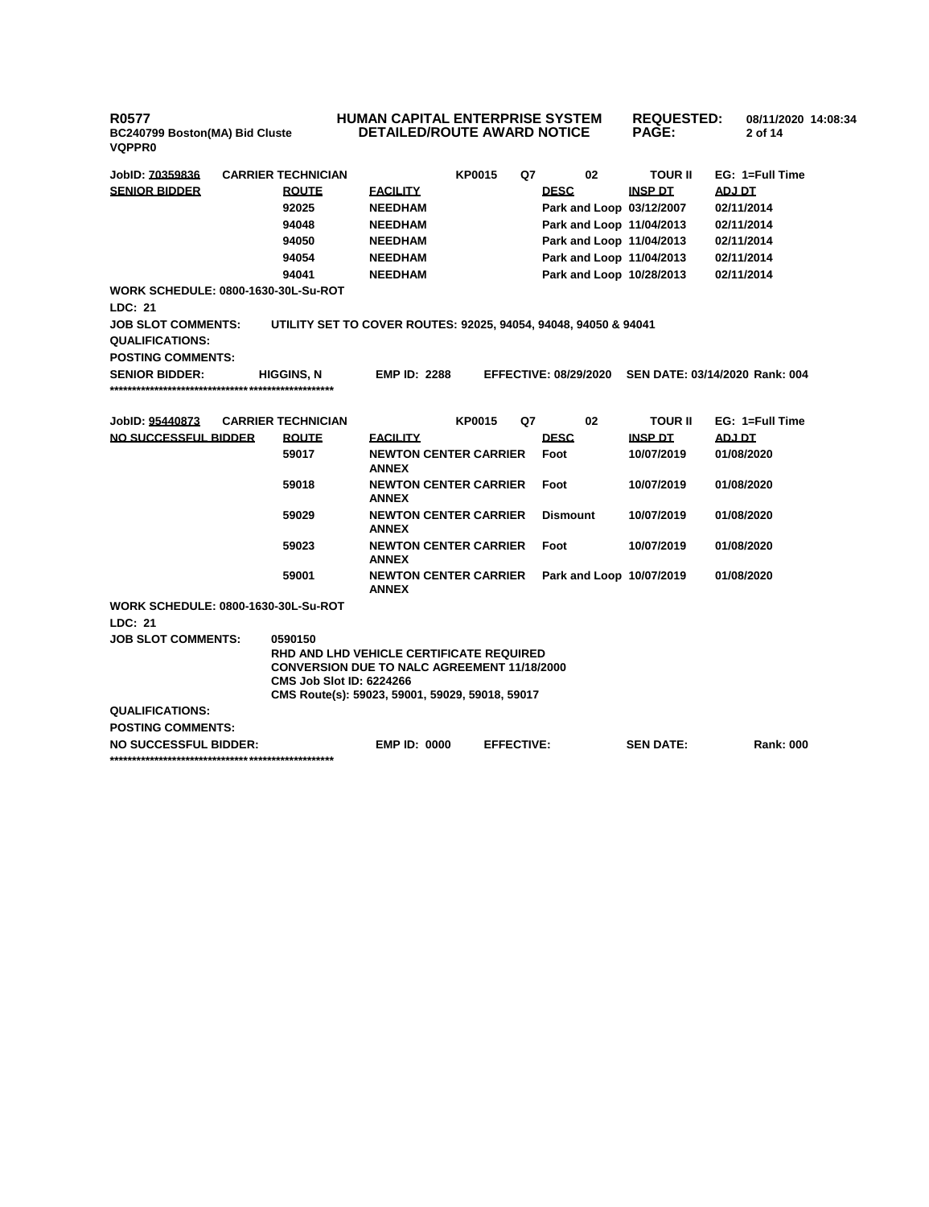# **HUMAN CAPITAL ENTERPRISE SYSTEM DETAILED/ROUTE AWARD NOTICE**

**REQUESTED: 08/11/2020 14:08:34 PAGE: 2 of 14** 

| JobID: 70359836                            | <b>CARRIER TECHNICIAN</b>                                                             |                                              | <b>KP0015</b>     | Q7 | 02                           | <b>TOUR II</b>   | EG: 1=Full Time                |
|--------------------------------------------|---------------------------------------------------------------------------------------|----------------------------------------------|-------------------|----|------------------------------|------------------|--------------------------------|
| <b>SENIOR BIDDER</b>                       | <b>ROUTE</b>                                                                          | <b>EACILITY</b>                              |                   |    | <b>DESC</b>                  | <b>INSP DT</b>   | <b>ADJ DT</b>                  |
|                                            | 92025                                                                                 | <b>NEEDHAM</b>                               |                   |    | Park and Loop 03/12/2007     |                  | 02/11/2014                     |
|                                            | 94048                                                                                 | <b>NEEDHAM</b>                               |                   |    | Park and Loop 11/04/2013     |                  | 02/11/2014                     |
|                                            | 94050                                                                                 | <b>NEEDHAM</b>                               |                   |    | Park and Loop 11/04/2013     |                  | 02/11/2014                     |
|                                            | 94054                                                                                 | <b>NEEDHAM</b>                               |                   |    | Park and Loop 11/04/2013     |                  | 02/11/2014                     |
|                                            | 94041                                                                                 | <b>NEEDHAM</b>                               |                   |    | Park and Loop 10/28/2013     |                  | 02/11/2014                     |
| <b>WORK SCHEDULE: 0800-1630-30L-Su-ROT</b> |                                                                                       |                                              |                   |    |                              |                  |                                |
| LDC: 21                                    |                                                                                       |                                              |                   |    |                              |                  |                                |
| <b>JOB SLOT COMMENTS:</b>                  | UTILITY SET TO COVER ROUTES: 92025, 94054, 94048, 94050 & 94041                       |                                              |                   |    |                              |                  |                                |
| <b>QUALIFICATIONS:</b>                     |                                                                                       |                                              |                   |    |                              |                  |                                |
| <b>POSTING COMMENTS:</b>                   |                                                                                       |                                              |                   |    |                              |                  |                                |
| <b>SENIOR BIDDER:</b>                      | <b>HIGGINS, N</b>                                                                     | <b>EMP ID: 2288</b>                          |                   |    | <b>EFFECTIVE: 08/29/2020</b> |                  | SEN DATE: 03/14/2020 Rank: 004 |
|                                            |                                                                                       |                                              |                   |    |                              |                  |                                |
|                                            |                                                                                       |                                              |                   |    |                              |                  |                                |
| JobID: 95440873                            | <b>CARRIER TECHNICIAN</b>                                                             |                                              | <b>KP0015</b>     | Q7 | 02                           | <b>TOUR II</b>   | EG: 1=Full Time                |
| NO SUCCESSFUL BIDDER                       | <b>ROUTE</b>                                                                          | <b>FACILITY</b>                              |                   |    | <b>DESC</b>                  | <b>INSP DT</b>   | <b>ADJ DT</b>                  |
|                                            | 59017                                                                                 | <b>NEWTON CENTER CARRIER</b><br><b>ANNEX</b> |                   |    | Foot                         | 10/07/2019       | 01/08/2020                     |
|                                            | 59018                                                                                 | <b>NEWTON CENTER CARRIER</b><br><b>ANNEX</b> |                   |    | Foot                         | 10/07/2019       | 01/08/2020                     |
|                                            | 59029                                                                                 | <b>NEWTON CENTER CARRIER</b><br><b>ANNEX</b> |                   |    | <b>Dismount</b>              | 10/07/2019       | 01/08/2020                     |
|                                            | 59023                                                                                 | <b>NEWTON CENTER CARRIER</b><br><b>ANNEX</b> |                   |    | Foot                         | 10/07/2019       | 01/08/2020                     |
|                                            | 59001                                                                                 | <b>NEWTON CENTER CARRIER</b><br><b>ANNEX</b> |                   |    | Park and Loop 10/07/2019     |                  | 01/08/2020                     |
| <b>WORK SCHEDULE: 0800-1630-30L-Su-ROT</b> |                                                                                       |                                              |                   |    |                              |                  |                                |
| LDC: 21                                    |                                                                                       |                                              |                   |    |                              |                  |                                |
| <b>JOB SLOT COMMENTS:</b>                  | 0590150                                                                               |                                              |                   |    |                              |                  |                                |
|                                            | RHD AND LHD VEHICLE CERTIFICATE REQUIRED                                              |                                              |                   |    |                              |                  |                                |
|                                            | <b>CONVERSION DUE TO NALC AGREEMENT 11/18/2000</b><br><b>CMS Job Slot ID: 6224266</b> |                                              |                   |    |                              |                  |                                |
|                                            | CMS Route(s): 59023, 59001, 59029, 59018, 59017                                       |                                              |                   |    |                              |                  |                                |
| <b>QUALIFICATIONS:</b>                     |                                                                                       |                                              |                   |    |                              |                  |                                |
| <b>POSTING COMMENTS:</b>                   |                                                                                       |                                              |                   |    |                              |                  |                                |
| <b>NO SUCCESSFUL BIDDER:</b>               |                                                                                       | <b>EMP ID: 0000</b>                          | <b>EFFECTIVE:</b> |    |                              | <b>SEN DATE:</b> | <b>Rank: 000</b>               |
|                                            |                                                                                       |                                              |                   |    |                              |                  |                                |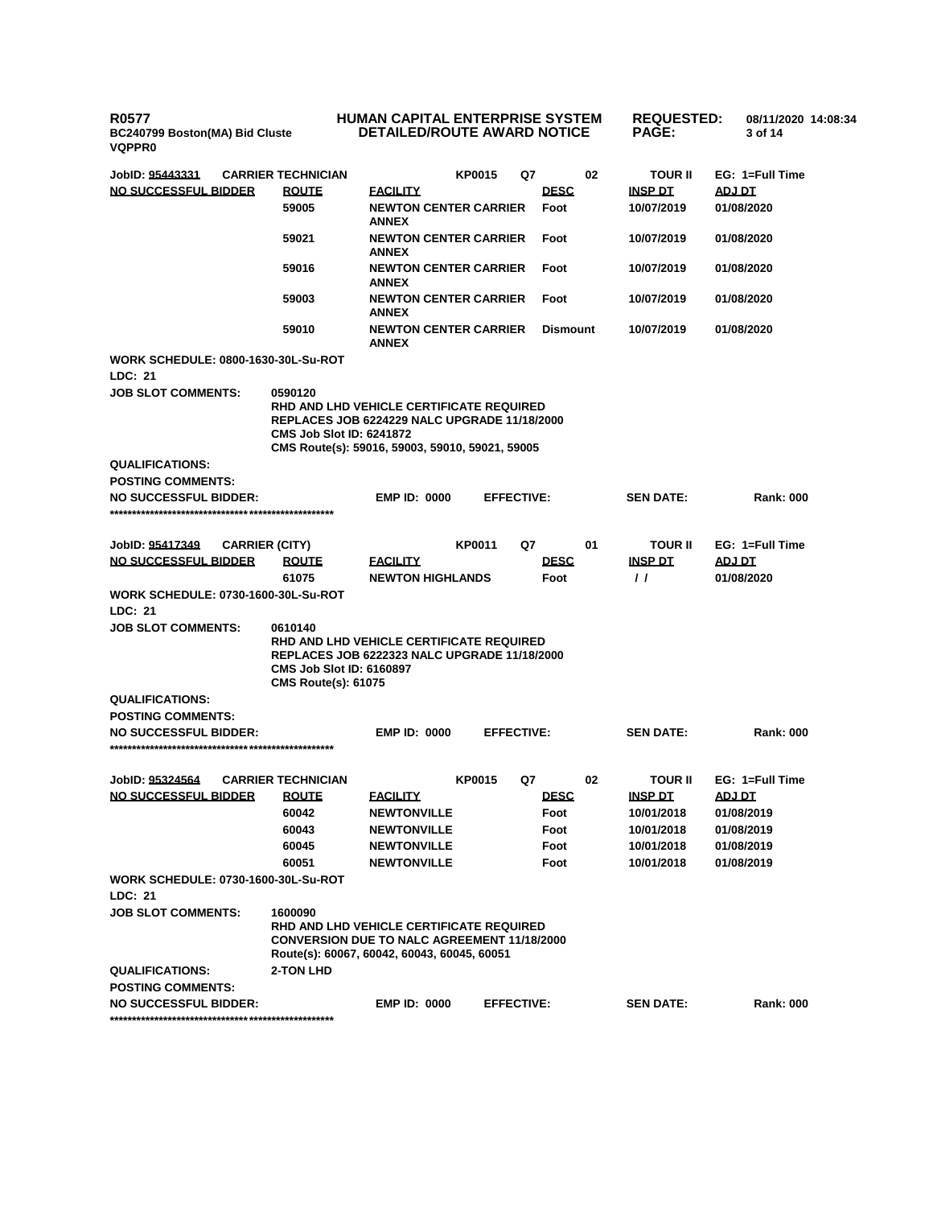# **HUMAN CAPITAL ENTERPRISE SYSTEM DETAILED/ROUTE AWARD NOTICE**

**REQUESTED: 08/11/2020 14:08:34**

**3 of 14** 

**PAGE:**

| <b>VQPPR0</b>                                         |                                                                          |                                                                                                                                                    |                   |                     |    |                            |                      |
|-------------------------------------------------------|--------------------------------------------------------------------------|----------------------------------------------------------------------------------------------------------------------------------------------------|-------------------|---------------------|----|----------------------------|----------------------|
| JobID: 95443331                                       | <b>CARRIER TECHNICIAN</b>                                                |                                                                                                                                                    | <b>KP0015</b>     | Q7                  | 02 | TOUR II                    | EG: 1=Full Time      |
| NO SUCCESSFUL BIDDER                                  | <b>ROUTE</b>                                                             | <b>FACILITY</b>                                                                                                                                    |                   | <b>DESC</b>         |    | <b>INSP DT</b>             | ADJ DT               |
|                                                       | 59005                                                                    | <b>NEWTON CENTER CARRIER</b><br><b>ANNEX</b>                                                                                                       |                   | Foot                |    | 10/07/2019                 | 01/08/2020           |
|                                                       | 59021                                                                    | <b>NEWTON CENTER CARRIER</b><br><b>ANNEX</b>                                                                                                       |                   | Foot                |    | 10/07/2019                 | 01/08/2020           |
|                                                       | 59016                                                                    | <b>NEWTON CENTER CARRIER</b><br><b>ANNEX</b>                                                                                                       |                   | Foot                |    | 10/07/2019                 | 01/08/2020           |
|                                                       | 59003                                                                    | <b>NEWTON CENTER CARRIER</b><br><b>ANNEX</b>                                                                                                       |                   | Foot                |    | 10/07/2019                 | 01/08/2020           |
|                                                       | 59010                                                                    | <b>NEWTON CENTER CARRIER</b><br><b>ANNEX</b>                                                                                                       |                   | <b>Dismount</b>     |    | 10/07/2019                 | 01/08/2020           |
| <b>WORK SCHEDULE: 0800-1630-30L-Su-ROT</b><br>LDC: 21 |                                                                          |                                                                                                                                                    |                   |                     |    |                            |                      |
| <b>JOB SLOT COMMENTS:</b>                             | 0590120                                                                  |                                                                                                                                                    |                   |                     |    |                            |                      |
|                                                       | <b>CMS Job Slot ID: 6241872</b>                                          | RHD AND LHD VEHICLE CERTIFICATE REQUIRED<br><b>REPLACES JOB 6224229 NALC UPGRADE 11/18/2000</b><br>CMS Route(s): 59016, 59003, 59010, 59021, 59005 |                   |                     |    |                            |                      |
| <b>QUALIFICATIONS:</b>                                |                                                                          |                                                                                                                                                    |                   |                     |    |                            |                      |
| <b>POSTING COMMENTS:</b>                              |                                                                          |                                                                                                                                                    |                   |                     |    |                            |                      |
| <b>NO SUCCESSFUL BIDDER:</b>                          |                                                                          | <b>EMP ID: 0000</b>                                                                                                                                | <b>EFFECTIVE:</b> |                     |    | <b>SEN DATE:</b>           | <b>Rank: 000</b>     |
|                                                       |                                                                          |                                                                                                                                                    |                   |                     |    |                            |                      |
|                                                       |                                                                          |                                                                                                                                                    |                   |                     |    |                            |                      |
| JobID: 95417349                                       | <b>CARRIER (CITY)</b>                                                    |                                                                                                                                                    | <b>KP0011</b>     | Q7                  | 01 | <b>TOUR II</b>             | EG: 1=Full Time      |
| NO SUCCESSFUL BIDDER                                  | <b>ROUTE</b><br>61075                                                    | <u>EACILITY</u><br><b>NEWTON HIGHLANDS</b>                                                                                                         |                   | <b>DESC</b><br>Foot |    | <b>INSP DT</b><br>$\prime$ | ADJ DT<br>01/08/2020 |
| <b>WORK SCHEDULE: 0730-1600-30L-Su-ROT</b>            |                                                                          |                                                                                                                                                    |                   |                     |    |                            |                      |
| LDC: 21                                               |                                                                          |                                                                                                                                                    |                   |                     |    |                            |                      |
| <b>JOB SLOT COMMENTS:</b>                             | 0610140<br><b>CMS Job Slot ID: 6160897</b><br><b>CMS Route(s): 61075</b> | RHD AND LHD VEHICLE CERTIFICATE REQUIRED<br>REPLACES JOB 6222323 NALC UPGRADE 11/18/2000                                                           |                   |                     |    |                            |                      |
| <b>QUALIFICATIONS:</b>                                |                                                                          |                                                                                                                                                    |                   |                     |    |                            |                      |
| <b>POSTING COMMENTS:</b>                              |                                                                          |                                                                                                                                                    |                   |                     |    |                            |                      |
| <b>NO SUCCESSFUL BIDDER:</b>                          |                                                                          | <b>EMP ID: 0000</b>                                                                                                                                | <b>EFFECTIVE:</b> |                     |    | <b>SEN DATE:</b>           | <b>Rank: 000</b>     |
|                                                       |                                                                          |                                                                                                                                                    |                   |                     |    |                            |                      |
| JobID: 95324564                                       | <b>CARRIER TECHNICIAN</b>                                                |                                                                                                                                                    | <b>KP0015</b>     | Q7                  | 02 | TOUR II                    | EG: 1=Full Time      |
| NO SUCCESSFUL BIDDER                                  | <b>ROUTE</b>                                                             | <b>FACILITY</b>                                                                                                                                    |                   | <b>DESC</b>         |    | <b>INSP DT</b>             | ADJ DT               |
|                                                       | 60042                                                                    | <b>NEWTONVILLE</b>                                                                                                                                 |                   | Foot                |    | 10/01/2018                 | 01/08/2019           |
|                                                       | 60043                                                                    | <b>NEWTONVILLE</b>                                                                                                                                 |                   | Foot                |    | 10/01/2018                 | 01/08/2019           |
|                                                       | 60045                                                                    | <b>NEWTONVILLE</b>                                                                                                                                 |                   | Foot                |    | 10/01/2018                 | 01/08/2019           |
|                                                       | 60051                                                                    | <b>NEWTONVILLE</b>                                                                                                                                 |                   | Foot                |    | 10/01/2018                 | 01/08/2019           |
| <b>WORK SCHEDULE: 0730-1600-30L-Su-ROT</b>            |                                                                          |                                                                                                                                                    |                   |                     |    |                            |                      |
| LDC: 21                                               |                                                                          |                                                                                                                                                    |                   |                     |    |                            |                      |
| <b>JOB SLOT COMMENTS:</b>                             | 1600090                                                                  |                                                                                                                                                    |                   |                     |    |                            |                      |
|                                                       |                                                                          | RHD AND LHD VEHICLE CERTIFICATE REQUIRED<br><b>CONVERSION DUE TO NALC AGREEMENT 11/18/2000</b><br>Route(s): 60067, 60042, 60043, 60045, 60051      |                   |                     |    |                            |                      |
| <b>QUALIFICATIONS:</b>                                | 2-TON LHD                                                                |                                                                                                                                                    |                   |                     |    |                            |                      |
| <b>POSTING COMMENTS:</b>                              |                                                                          |                                                                                                                                                    |                   |                     |    |                            |                      |
| <b>NO SUCCESSFUL BIDDER:</b>                          |                                                                          | <b>EMP ID: 0000</b>                                                                                                                                | <b>EFFECTIVE:</b> |                     |    | <b>SEN DATE:</b>           | <b>Rank: 000</b>     |
|                                                       |                                                                          |                                                                                                                                                    |                   |                     |    |                            |                      |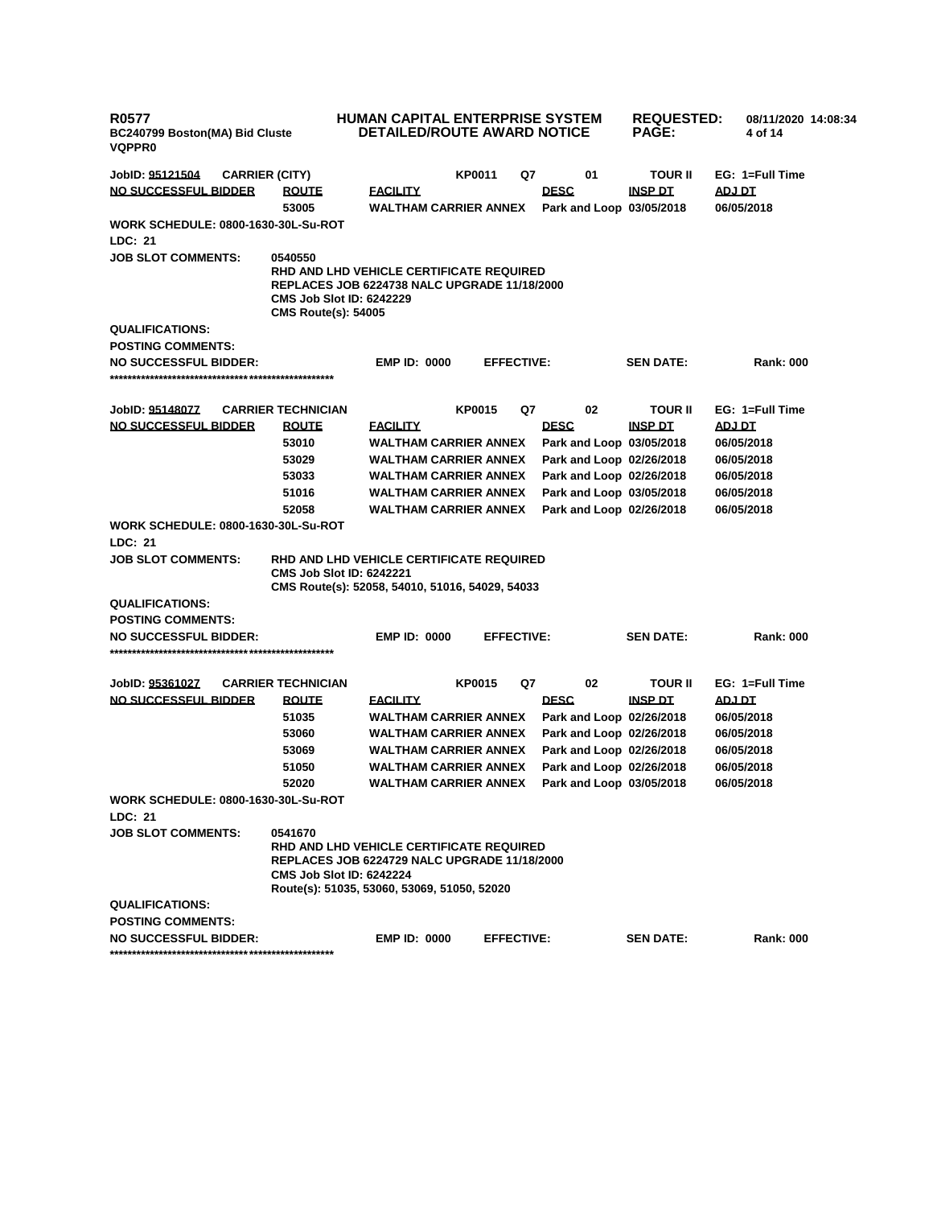| <b>R0577</b><br>BC240799 Boston(MA) Bid Cluste<br><b>VQPPR0</b> |                                                                                                                                                                                              | <b>HUMAN CAPITAL ENTERPRISE SYSTEM</b><br><b>DETAILED/ROUTE AWARD NOTICE</b> |        |                   |                                         | <b>REQUESTED:</b><br><b>PAGE:</b> | 08/11/2020 14:08:34<br>4 of 14 |
|-----------------------------------------------------------------|----------------------------------------------------------------------------------------------------------------------------------------------------------------------------------------------|------------------------------------------------------------------------------|--------|-------------------|-----------------------------------------|-----------------------------------|--------------------------------|
| JobID: 95121504<br><b>CARRIER (CITY)</b>                        |                                                                                                                                                                                              |                                                                              | KP0011 | Q7                | 01                                      | <b>TOUR II</b>                    | EG: 1=Full Time                |
| NO SUCCESSFUL BIDDER                                            | <b>ROUTE</b>                                                                                                                                                                                 | <b>FACILITY</b>                                                              |        |                   | <b>DESC</b>                             | INSP DT                           | ADJ DT                         |
|                                                                 | 53005                                                                                                                                                                                        | <b>WALTHAM CARRIER ANNEX</b>                                                 |        |                   | Park and Loop 03/05/2018                |                                   | 06/05/2018                     |
| <b>WORK SCHEDULE: 0800-1630-30L-Su-ROT</b><br>LDC: 21           |                                                                                                                                                                                              |                                                                              |        |                   |                                         |                                   |                                |
| <b>JOB SLOT COMMENTS:</b>                                       | 0540550<br>RHD AND LHD VEHICLE CERTIFICATE REQUIRED<br><b>REPLACES JOB 6224738 NALC UPGRADE 11/18/2000</b><br><b>CMS Job Slot ID: 6242229</b><br><b>CMS Route(s): 54005</b>                  |                                                                              |        |                   |                                         |                                   |                                |
| <b>QUALIFICATIONS:</b>                                          |                                                                                                                                                                                              |                                                                              |        |                   |                                         |                                   |                                |
| <b>POSTING COMMENTS:</b>                                        |                                                                                                                                                                                              |                                                                              |        |                   |                                         |                                   |                                |
| <b>NO SUCCESSFUL BIDDER:</b>                                    |                                                                                                                                                                                              | <b>EMP ID: 0000</b>                                                          |        | <b>EFFECTIVE:</b> |                                         | <b>SEN DATE:</b>                  | <b>Rank: 000</b>               |
|                                                                 |                                                                                                                                                                                              |                                                                              |        |                   |                                         |                                   |                                |
| JobID: <u>95148077</u><br><b>NO SUCCESSFUL BIDDER</b>           | <b>CARRIER TECHNICIAN</b>                                                                                                                                                                    |                                                                              | KP0015 | Q7                | 02                                      | <b>TOUR II</b><br><b>INSP DT</b>  | EG: 1=Full Time                |
|                                                                 | <b>ROUTE</b><br>53010                                                                                                                                                                        | <b>FACILITY</b><br><b>WALTHAM CARRIER ANNEX</b>                              |        |                   | <b>DESC</b><br>Park and Loop 03/05/2018 |                                   | <b>ADJ DT</b><br>06/05/2018    |
|                                                                 | 53029                                                                                                                                                                                        | <b>WALTHAM CARRIER ANNEX</b>                                                 |        |                   | Park and Loop 02/26/2018                |                                   | 06/05/2018                     |
|                                                                 | 53033                                                                                                                                                                                        | <b>WALTHAM CARRIER ANNEX</b>                                                 |        |                   | Park and Loop 02/26/2018                |                                   | 06/05/2018                     |
|                                                                 | 51016                                                                                                                                                                                        | <b>WALTHAM CARRIER ANNEX</b>                                                 |        |                   | Park and Loop 03/05/2018                |                                   | 06/05/2018                     |
|                                                                 | 52058                                                                                                                                                                                        | <b>WALTHAM CARRIER ANNEX</b>                                                 |        |                   | Park and Loop 02/26/2018                |                                   | 06/05/2018                     |
| <b>WORK SCHEDULE: 0800-1630-30L-Su-ROT</b>                      |                                                                                                                                                                                              |                                                                              |        |                   |                                         |                                   |                                |
| LDC: 21                                                         |                                                                                                                                                                                              |                                                                              |        |                   |                                         |                                   |                                |
| <b>JOB SLOT COMMENTS:</b>                                       | RHD AND LHD VEHICLE CERTIFICATE REQUIRED<br><b>CMS Job Slot ID: 6242221</b><br>CMS Route(s): 52058, 54010, 51016, 54029, 54033                                                               |                                                                              |        |                   |                                         |                                   |                                |
| <b>QUALIFICATIONS:</b>                                          |                                                                                                                                                                                              |                                                                              |        |                   |                                         |                                   |                                |
| <b>POSTING COMMENTS:</b>                                        |                                                                                                                                                                                              |                                                                              |        |                   |                                         |                                   |                                |
| <b>NO SUCCESSFUL BIDDER:</b>                                    |                                                                                                                                                                                              | <b>EMP ID: 0000</b>                                                          |        | <b>EFFECTIVE:</b> |                                         | <b>SEN DATE:</b>                  | <b>Rank: 000</b>               |
|                                                                 |                                                                                                                                                                                              |                                                                              |        |                   |                                         |                                   | EG: 1=Full Time                |
| JobID: 95361027<br><b>NO SUCCESSFUL BIDDER</b>                  | <b>CARRIER TECHNICIAN</b><br><b>ROUTE</b>                                                                                                                                                    | <b>FACILITY</b>                                                              | KP0015 | Q7                | 02<br><b>DESC</b>                       | <b>TOUR II</b><br><b>INSP DT</b>  | <b>ADJ DT</b>                  |
|                                                                 | 51035                                                                                                                                                                                        | <b>WALTHAM CARRIER ANNEX</b>                                                 |        |                   | Park and Loop 02/26/2018                |                                   | 06/05/2018                     |
|                                                                 | 53060                                                                                                                                                                                        | <b>WALTHAM CARRIER ANNEX</b>                                                 |        |                   | Park and Loop 02/26/2018                |                                   | 06/05/2018                     |
|                                                                 | 53069                                                                                                                                                                                        | <b>WALTHAM CARRIER ANNEX</b>                                                 |        |                   | Park and Loop 02/26/2018                |                                   | 06/05/2018                     |
|                                                                 | 51050                                                                                                                                                                                        | <b>WALTHAM CARRIER ANNEX</b>                                                 |        |                   | Park and Loop 02/26/2018                |                                   | 06/05/2018                     |
|                                                                 | 52020                                                                                                                                                                                        | <b>WALTHAM CARRIER ANNEX</b>                                                 |        |                   | Park and Loop 03/05/2018                |                                   | 06/05/2018                     |
| <b>WORK SCHEDULE: 0800-1630-30L-Su-ROT</b><br>LDC: 21           |                                                                                                                                                                                              |                                                                              |        |                   |                                         |                                   |                                |
| <b>JOB SLOT COMMENTS:</b>                                       |                                                                                                                                                                                              |                                                                              |        |                   |                                         |                                   |                                |
|                                                                 | 0541670<br>RHD AND LHD VEHICLE CERTIFICATE REQUIRED<br><b>REPLACES JOB 6224729 NALC UPGRADE 11/18/2000</b><br><b>CMS Job Slot ID: 6242224</b><br>Route(s): 51035, 53060, 53069, 51050, 52020 |                                                                              |        |                   |                                         |                                   |                                |
| <b>QUALIFICATIONS:</b>                                          |                                                                                                                                                                                              |                                                                              |        |                   |                                         |                                   |                                |
| <b>POSTING COMMENTS:</b>                                        |                                                                                                                                                                                              |                                                                              |        |                   |                                         |                                   |                                |
| <b>NO SUCCESSFUL BIDDER:</b>                                    |                                                                                                                                                                                              | <b>EMP ID: 0000</b>                                                          |        | <b>EFFECTIVE:</b> |                                         | <b>SEN DATE:</b>                  | <b>Rank: 000</b>               |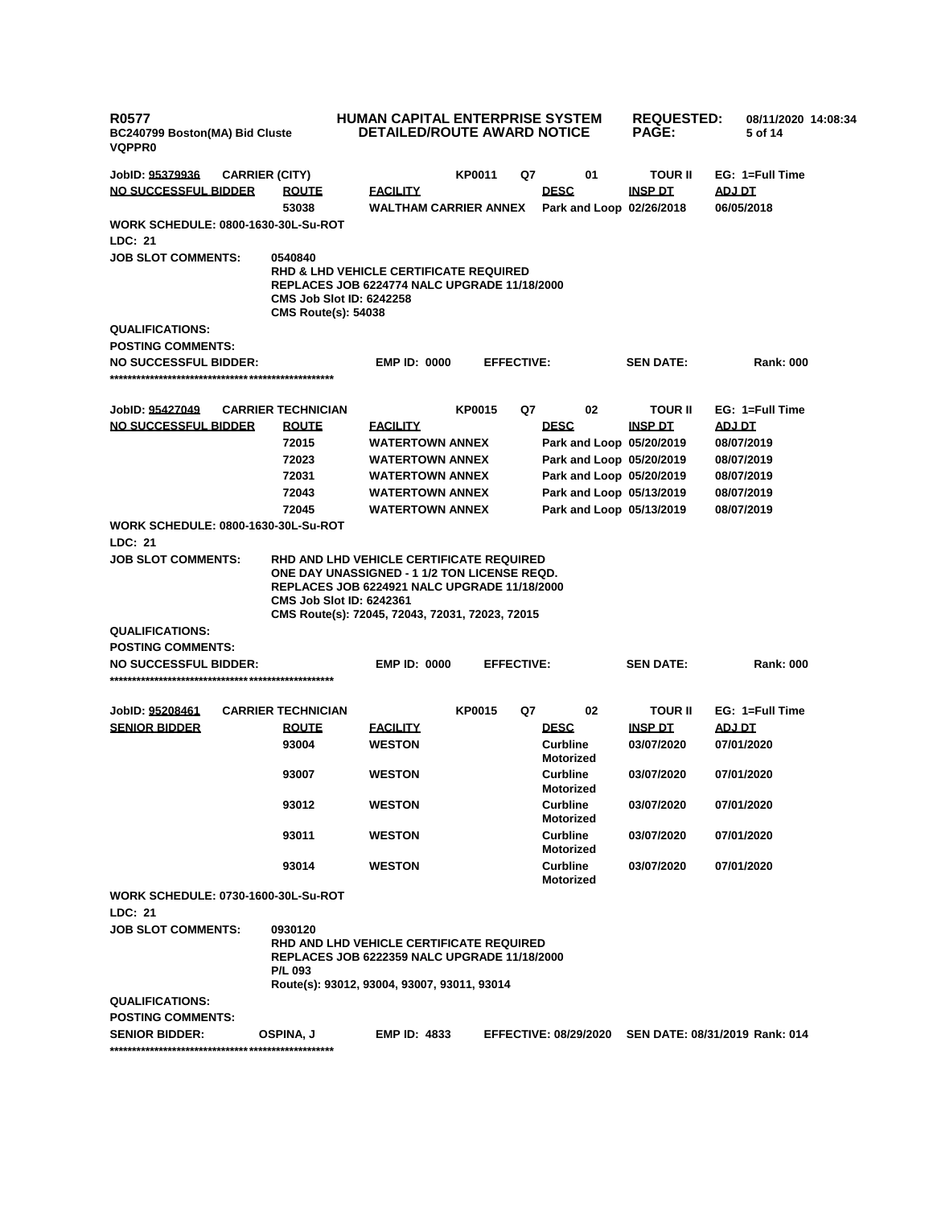| <b>R0577</b><br>BC240799 Boston(MA) Bid Cluste<br><b>VQPPR0</b> |  |                                                               | <b>HUMAN CAPITAL ENTERPRISE SYSTEM</b><br><b>REQUESTED:</b><br>08/11/2020 14:08:34<br>DETAILED/ROUTE AWARD NOTICE<br><b>PAGE:</b><br>5 of 14                                                       |               |                   |                                     |                  |                                |  |
|-----------------------------------------------------------------|--|---------------------------------------------------------------|----------------------------------------------------------------------------------------------------------------------------------------------------------------------------------------------------|---------------|-------------------|-------------------------------------|------------------|--------------------------------|--|
| JobID: 95379936                                                 |  | <b>CARRIER (CITY)</b>                                         |                                                                                                                                                                                                    | KP0011        | Q7                | 01                                  | <b>TOUR II</b>   | EG: 1=Full Time                |  |
| NO SUCCESSFUL BIDDER                                            |  | <b>ROUTE</b>                                                  | <b>FACILITY</b>                                                                                                                                                                                    |               |                   | <b>DESC</b>                         | <b>INSP DT</b>   | ADJ DT                         |  |
|                                                                 |  | 53038                                                         | <b>WALTHAM CARRIER ANNEX</b>                                                                                                                                                                       |               |                   | Park and Loop 02/26/2018            |                  | 06/05/2018                     |  |
| WORK SCHEDULE: 0800-1630-30L-Su-ROT<br>LDC: 21                  |  |                                                               |                                                                                                                                                                                                    |               |                   |                                     |                  |                                |  |
| <b>JOB SLOT COMMENTS:</b>                                       |  | 0540840                                                       |                                                                                                                                                                                                    |               |                   |                                     |                  |                                |  |
|                                                                 |  | <b>CMS Job Slot ID: 6242258</b><br><b>CMS Route(s): 54038</b> | <b>RHD &amp; LHD VEHICLE CERTIFICATE REQUIRED</b><br>REPLACES JOB 6224774 NALC UPGRADE 11/18/2000                                                                                                  |               |                   |                                     |                  |                                |  |
| <b>QUALIFICATIONS:</b>                                          |  |                                                               |                                                                                                                                                                                                    |               |                   |                                     |                  |                                |  |
| <b>POSTING COMMENTS:</b>                                        |  |                                                               |                                                                                                                                                                                                    |               |                   |                                     |                  |                                |  |
| <b>NO SUCCESSFUL BIDDER:</b>                                    |  |                                                               | <b>EMP ID: 0000</b>                                                                                                                                                                                |               | <b>EFFECTIVE:</b> |                                     | <b>SEN DATE:</b> | <b>Rank: 000</b>               |  |
|                                                                 |  |                                                               |                                                                                                                                                                                                    |               |                   |                                     |                  |                                |  |
| JobID: 95427049                                                 |  | <b>CARRIER TECHNICIAN</b>                                     |                                                                                                                                                                                                    | <b>KP0015</b> | Q7                | 02                                  | <b>TOUR II</b>   | EG: 1=Full Time                |  |
| <b>NO SUCCESSFUL BIDDER</b>                                     |  | <b>ROUTE</b>                                                  | <b>FACILITY</b>                                                                                                                                                                                    |               |                   | <b>DESC</b>                         | <b>INSP DT</b>   | <b>ADJ DT</b>                  |  |
|                                                                 |  | 72015                                                         | <b>WATERTOWN ANNEX</b>                                                                                                                                                                             |               |                   | Park and Loop 05/20/2019            |                  | 08/07/2019                     |  |
|                                                                 |  | 72023                                                         | <b>WATERTOWN ANNEX</b>                                                                                                                                                                             |               |                   | Park and Loop 05/20/2019            |                  | 08/07/2019                     |  |
|                                                                 |  | 72031                                                         | <b>WATERTOWN ANNEX</b>                                                                                                                                                                             |               |                   | Park and Loop 05/20/2019            |                  | 08/07/2019                     |  |
|                                                                 |  | 72043                                                         | <b>WATERTOWN ANNEX</b>                                                                                                                                                                             |               |                   | Park and Loop 05/13/2019            |                  | 08/07/2019                     |  |
|                                                                 |  | 72045                                                         | <b>WATERTOWN ANNEX</b>                                                                                                                                                                             |               |                   | Park and Loop 05/13/2019            |                  | 08/07/2019                     |  |
| <b>WORK SCHEDULE: 0800-1630-30L-Su-ROT</b><br>LDC: 21           |  |                                                               |                                                                                                                                                                                                    |               |                   |                                     |                  |                                |  |
| <b>JOB SLOT COMMENTS:</b>                                       |  | <b>CMS Job Slot ID: 6242361</b>                               | RHD AND LHD VEHICLE CERTIFICATE REQUIRED<br>ONE DAY UNASSIGNED - 1 1/2 TON LICENSE REQD.<br><b>REPLACES JOB 6224921 NALC UPGRADE 11/18/2000</b><br>CMS Route(s): 72045, 72043, 72031, 72023, 72015 |               |                   |                                     |                  |                                |  |
| <b>QUALIFICATIONS:</b>                                          |  |                                                               |                                                                                                                                                                                                    |               |                   |                                     |                  |                                |  |
| <b>POSTING COMMENTS:</b>                                        |  |                                                               |                                                                                                                                                                                                    |               |                   |                                     |                  |                                |  |
| <b>NO SUCCESSFUL BIDDER:</b>                                    |  |                                                               | <b>EMP ID: 0000</b>                                                                                                                                                                                |               | <b>EFFECTIVE:</b> |                                     | <b>SEN DATE:</b> | <b>Rank: 000</b>               |  |
| JobID: 95208461                                                 |  | <b>CARRIER TECHNICIAN</b>                                     |                                                                                                                                                                                                    | <b>KP0015</b> | Q7                | 02                                  | <b>TOUR II</b>   | EG: 1=Full Time                |  |
| <b>SENIOR BIDDER</b>                                            |  | <b>ROUTE</b>                                                  | <u>FACILITY</u>                                                                                                                                                                                    |               |                   | <b>DESC</b>                         | <b>INSP DT</b>   | <b>ADJ DT</b>                  |  |
|                                                                 |  | 93004                                                         | <b>WESTON</b>                                                                                                                                                                                      |               |                   | <b>Curbline</b><br><b>Motorized</b> | 03/07/2020       | 07/01/2020                     |  |
|                                                                 |  | 93007                                                         | <b>WESTON</b>                                                                                                                                                                                      |               |                   | <b>Curbline</b><br><b>Motorized</b> | 03/07/2020       | 07/01/2020                     |  |
|                                                                 |  | 93012                                                         | <b>WESTON</b>                                                                                                                                                                                      |               |                   | <b>Curbline</b><br><b>Motorized</b> | 03/07/2020       | 07/01/2020                     |  |
|                                                                 |  | 93011                                                         | <b>WESTON</b>                                                                                                                                                                                      |               |                   | <b>Curbline</b><br><b>Motorized</b> | 03/07/2020       | 07/01/2020                     |  |
|                                                                 |  | 93014                                                         | WESTON                                                                                                                                                                                             |               |                   | Curbline<br><b>Motorized</b>        | 03/07/2020       | 07/01/2020                     |  |
| <b>WORK SCHEDULE: 0730-1600-30L-Su-ROT</b><br><b>LDC: 21</b>    |  |                                                               |                                                                                                                                                                                                    |               |                   |                                     |                  |                                |  |
| <b>JOB SLOT COMMENTS:</b>                                       |  | 0930120<br><b>P/L 093</b>                                     | <b>RHD AND LHD VEHICLE CERTIFICATE REQUIRED</b><br><b>REPLACES JOB 6222359 NALC UPGRADE 11/18/2000</b><br>Route(s): 93012, 93004, 93007, 93011, 93014                                              |               |                   |                                     |                  |                                |  |
| <b>QUALIFICATIONS:</b>                                          |  |                                                               |                                                                                                                                                                                                    |               |                   |                                     |                  |                                |  |
| <b>POSTING COMMENTS:</b>                                        |  |                                                               |                                                                                                                                                                                                    |               |                   |                                     |                  |                                |  |
| <b>SENIOR BIDDER:</b>                                           |  | OSPINA, J                                                     | <b>EMP ID: 4833</b>                                                                                                                                                                                |               |                   | <b>EFFECTIVE: 08/29/2020</b>        |                  | SEN DATE: 08/31/2019 Rank: 014 |  |
|                                                                 |  |                                                               |                                                                                                                                                                                                    |               |                   |                                     |                  |                                |  |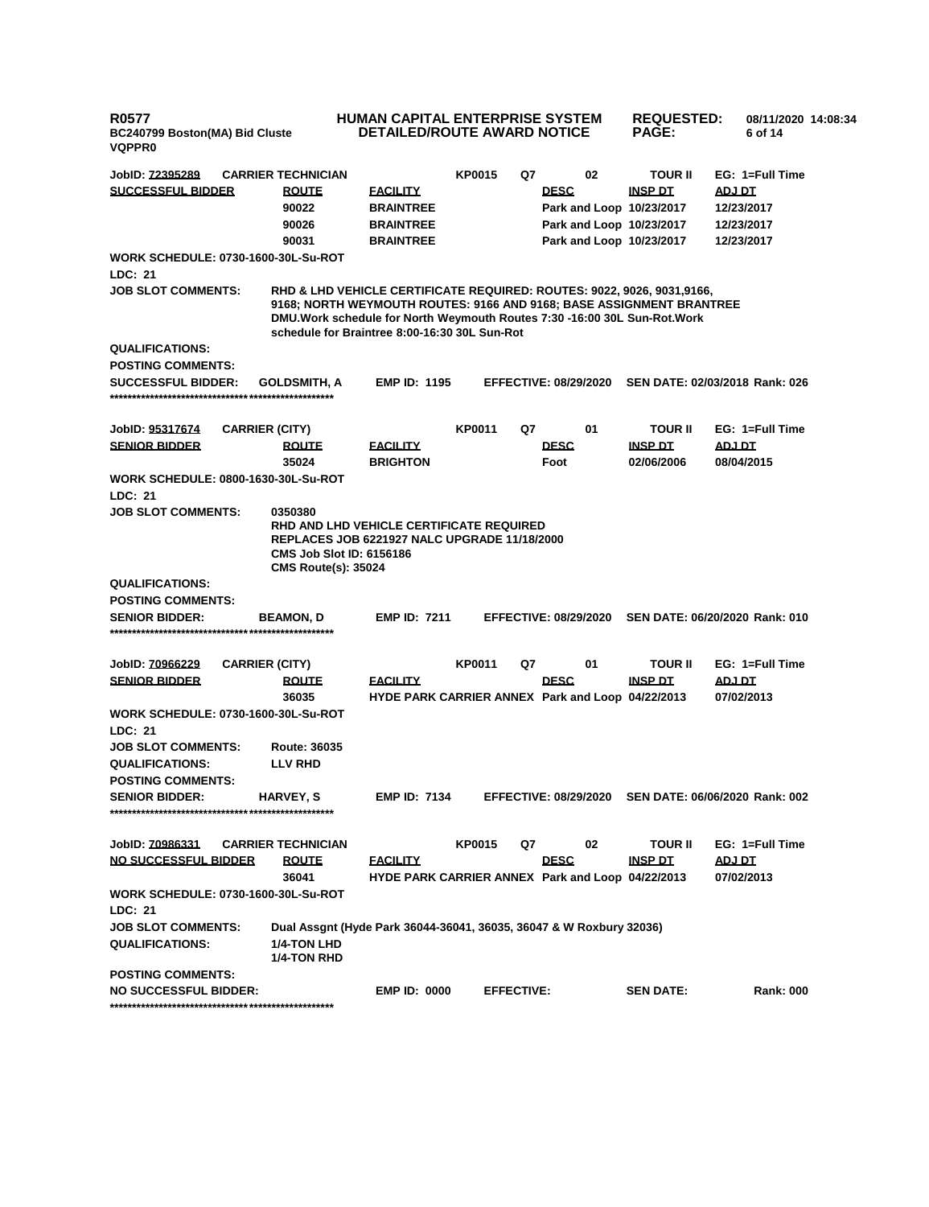| <b>R0577</b><br>BC240799 Boston(MA) Bid Cluste<br><b>VQPPR0</b> |                                                                          |                                                                                                                                                                                                                                                                               | <b>HUMAN CAPITAL ENTERPRISE SYSTEM</b><br><b>DETAILED/ROUTE AWARD NOTICE</b> |                   |                              | <b>REQUESTED:</b><br><b>PAGE:</b> | 08/11/2020 14:08:34<br>6 of 14 |  |
|-----------------------------------------------------------------|--------------------------------------------------------------------------|-------------------------------------------------------------------------------------------------------------------------------------------------------------------------------------------------------------------------------------------------------------------------------|------------------------------------------------------------------------------|-------------------|------------------------------|-----------------------------------|--------------------------------|--|
| JobID: <u>72395289</u>                                          | <b>CARRIER TECHNICIAN</b>                                                |                                                                                                                                                                                                                                                                               | KP0015                                                                       | Q7                | 02                           | <b>TOUR II</b>                    | EG: 1=Full Time                |  |
| <b>SUCCESSFUL BIDDER</b>                                        | <b>ROUTE</b>                                                             | <b>FACILITY</b>                                                                                                                                                                                                                                                               |                                                                              |                   | <b>DESC</b>                  | <b>INSP DT</b>                    | ADJ DT                         |  |
|                                                                 | 90022                                                                    | <b>BRAINTREE</b>                                                                                                                                                                                                                                                              |                                                                              |                   | Park and Loop 10/23/2017     |                                   | 12/23/2017                     |  |
|                                                                 | 90026                                                                    | <b>BRAINTREE</b>                                                                                                                                                                                                                                                              |                                                                              |                   | Park and Loop 10/23/2017     |                                   | 12/23/2017                     |  |
|                                                                 | 90031                                                                    | <b>BRAINTREE</b>                                                                                                                                                                                                                                                              |                                                                              |                   | Park and Loop 10/23/2017     |                                   | 12/23/2017                     |  |
| <b>WORK SCHEDULE: 0730-1600-30L-Su-ROT</b>                      |                                                                          |                                                                                                                                                                                                                                                                               |                                                                              |                   |                              |                                   |                                |  |
| LDC: 21                                                         |                                                                          |                                                                                                                                                                                                                                                                               |                                                                              |                   |                              |                                   |                                |  |
| <b>JOB SLOT COMMENTS:</b>                                       |                                                                          | RHD & LHD VEHICLE CERTIFICATE REQUIRED: ROUTES: 9022, 9026, 9031,9166,<br>9168; NORTH WEYMOUTH ROUTES: 9166 AND 9168; BASE ASSIGNMENT BRANTREE<br>DMU. Work schedule for North Weymouth Routes 7:30 -16:00 30L Sun-Rot. Work<br>schedule for Braintree 8:00-16:30 30L Sun-Rot |                                                                              |                   |                              |                                   |                                |  |
| <b>QUALIFICATIONS:</b>                                          |                                                                          |                                                                                                                                                                                                                                                                               |                                                                              |                   |                              |                                   |                                |  |
| <b>POSTING COMMENTS:</b>                                        |                                                                          |                                                                                                                                                                                                                                                                               |                                                                              |                   |                              |                                   |                                |  |
| <b>SUCCESSFUL BIDDER:</b>                                       | <b>GOLDSMITH, A</b>                                                      | <b>EMP ID: 1195</b>                                                                                                                                                                                                                                                           |                                                                              |                   | <b>EFFECTIVE: 08/29/2020</b> |                                   | SEN DATE: 02/03/2018 Rank: 026 |  |
| JobID: 95317674                                                 | <b>CARRIER (CITY)</b>                                                    |                                                                                                                                                                                                                                                                               | KP0011                                                                       | Q7                | 01                           | <b>TOUR II</b>                    | EG: 1=Full Time                |  |
| <b>SENIOR BIDDER</b>                                            | <b>ROUTE</b>                                                             | <b>FACILITY</b>                                                                                                                                                                                                                                                               |                                                                              |                   | <b>DESC</b>                  | <b>INSP DT</b>                    | ADJ DT                         |  |
|                                                                 | 35024                                                                    | <b>BRIGHTON</b>                                                                                                                                                                                                                                                               |                                                                              |                   | Foot                         | 02/06/2006                        | 08/04/2015                     |  |
| <b>WORK SCHEDULE: 0800-1630-30L-Su-ROT</b><br><b>LDC: 21</b>    |                                                                          |                                                                                                                                                                                                                                                                               |                                                                              |                   |                              |                                   |                                |  |
| <b>JOB SLOT COMMENTS:</b>                                       |                                                                          |                                                                                                                                                                                                                                                                               |                                                                              |                   |                              |                                   |                                |  |
|                                                                 | 0350380<br><b>CMS Job Slot ID: 6156186</b><br><b>CMS Route(s): 35024</b> | RHD AND LHD VEHICLE CERTIFICATE REQUIRED<br>REPLACES JOB 6221927 NALC UPGRADE 11/18/2000                                                                                                                                                                                      |                                                                              |                   |                              |                                   |                                |  |
| <b>QUALIFICATIONS:</b>                                          |                                                                          |                                                                                                                                                                                                                                                                               |                                                                              |                   |                              |                                   |                                |  |
| <b>POSTING COMMENTS:</b>                                        |                                                                          |                                                                                                                                                                                                                                                                               |                                                                              |                   |                              |                                   |                                |  |
| <b>SENIOR BIDDER:</b>                                           | <b>BEAMON, D</b>                                                         | <b>EMP ID: 7211</b>                                                                                                                                                                                                                                                           |                                                                              |                   | <b>EFFECTIVE: 08/29/2020</b> |                                   | SEN DATE: 06/20/2020 Rank: 010 |  |
| JobID: <u>70966229</u>                                          | <b>CARRIER (CITY)</b>                                                    |                                                                                                                                                                                                                                                                               | KP0011                                                                       | Q7                | 01                           | <b>TOUR II</b>                    | EG: 1=Full Time                |  |
| <b>SENIOR BIDDER</b>                                            | <b>ROUTE</b>                                                             | <b>FACILITY</b>                                                                                                                                                                                                                                                               |                                                                              |                   | <b>DESC</b>                  | <b>INSP DT</b>                    | <b>ADJ DT</b>                  |  |
|                                                                 | 36035                                                                    | HYDE PARK CARRIER ANNEX Park and Loop 04/22/2013                                                                                                                                                                                                                              |                                                                              |                   |                              |                                   | 07/02/2013                     |  |
| <b>WORK SCHEDULE: 0730-1600-30L-Su-ROT</b>                      |                                                                          |                                                                                                                                                                                                                                                                               |                                                                              |                   |                              |                                   |                                |  |
| LDC: 21                                                         |                                                                          |                                                                                                                                                                                                                                                                               |                                                                              |                   |                              |                                   |                                |  |
| <b>JOB SLOT COMMENTS:</b>                                       | <b>Route: 36035</b>                                                      |                                                                                                                                                                                                                                                                               |                                                                              |                   |                              |                                   |                                |  |
| <b>QUALIFICATIONS:</b>                                          | <b>LLV RHD</b>                                                           |                                                                                                                                                                                                                                                                               |                                                                              |                   |                              |                                   |                                |  |
| <b>POSTING COMMENTS:</b>                                        |                                                                          |                                                                                                                                                                                                                                                                               |                                                                              |                   |                              |                                   |                                |  |
| <b>SENIOR BIDDER:</b>                                           | HARVEY, S                                                                | <b>EMP ID: 7134</b>                                                                                                                                                                                                                                                           |                                                                              |                   | <b>EFFECTIVE: 08/29/2020</b> |                                   | SEN DATE: 06/06/2020 Rank: 002 |  |
|                                                                 |                                                                          |                                                                                                                                                                                                                                                                               |                                                                              |                   |                              |                                   |                                |  |
| JobID: 70986331                                                 | <b>CARRIER TECHNICIAN</b>                                                |                                                                                                                                                                                                                                                                               | KP0015                                                                       | Q7                | 02                           | <b>TOUR II</b>                    | EG: 1=Full Time                |  |
| <b>NO SUCCESSFUL BIDDER</b>                                     | <b>ROUTE</b>                                                             | <b>FACILITY</b>                                                                                                                                                                                                                                                               |                                                                              |                   | <b>DESC</b>                  | <b>INSP DT</b>                    | <b>ADJ DT</b>                  |  |
|                                                                 | 36041                                                                    | HYDE PARK CARRIER ANNEX Park and Loop 04/22/2013                                                                                                                                                                                                                              |                                                                              |                   |                              |                                   | 07/02/2013                     |  |
| <b>WORK SCHEDULE: 0730-1600-30L-Su-ROT</b>                      |                                                                          |                                                                                                                                                                                                                                                                               |                                                                              |                   |                              |                                   |                                |  |
| LDC: 21                                                         |                                                                          |                                                                                                                                                                                                                                                                               |                                                                              |                   |                              |                                   |                                |  |
| <b>JOB SLOT COMMENTS:</b>                                       |                                                                          | Dual Assgnt (Hyde Park 36044-36041, 36035, 36047 & W Roxbury 32036)                                                                                                                                                                                                           |                                                                              |                   |                              |                                   |                                |  |
| <b>QUALIFICATIONS:</b>                                          | <b>1/4-TON LHD</b><br>1/4-TON RHD                                        |                                                                                                                                                                                                                                                                               |                                                                              |                   |                              |                                   |                                |  |
| <b>POSTING COMMENTS:</b>                                        |                                                                          |                                                                                                                                                                                                                                                                               |                                                                              |                   |                              |                                   |                                |  |
| <b>NO SUCCESSFUL BIDDER:</b>                                    |                                                                          | <b>EMP ID: 0000</b>                                                                                                                                                                                                                                                           |                                                                              | <b>EFFECTIVE:</b> |                              | <b>SEN DATE:</b>                  | <b>Rank: 000</b>               |  |

**\*\*\*\*\*\*\*\*\*\*\*\*\*\*\*\*\*\*\*\*\*\*\*\*\*\*\*\*\*\*\*\*\*\*\*\*\*\*\*\*\*\*\*\*\*\*\*\*\*\***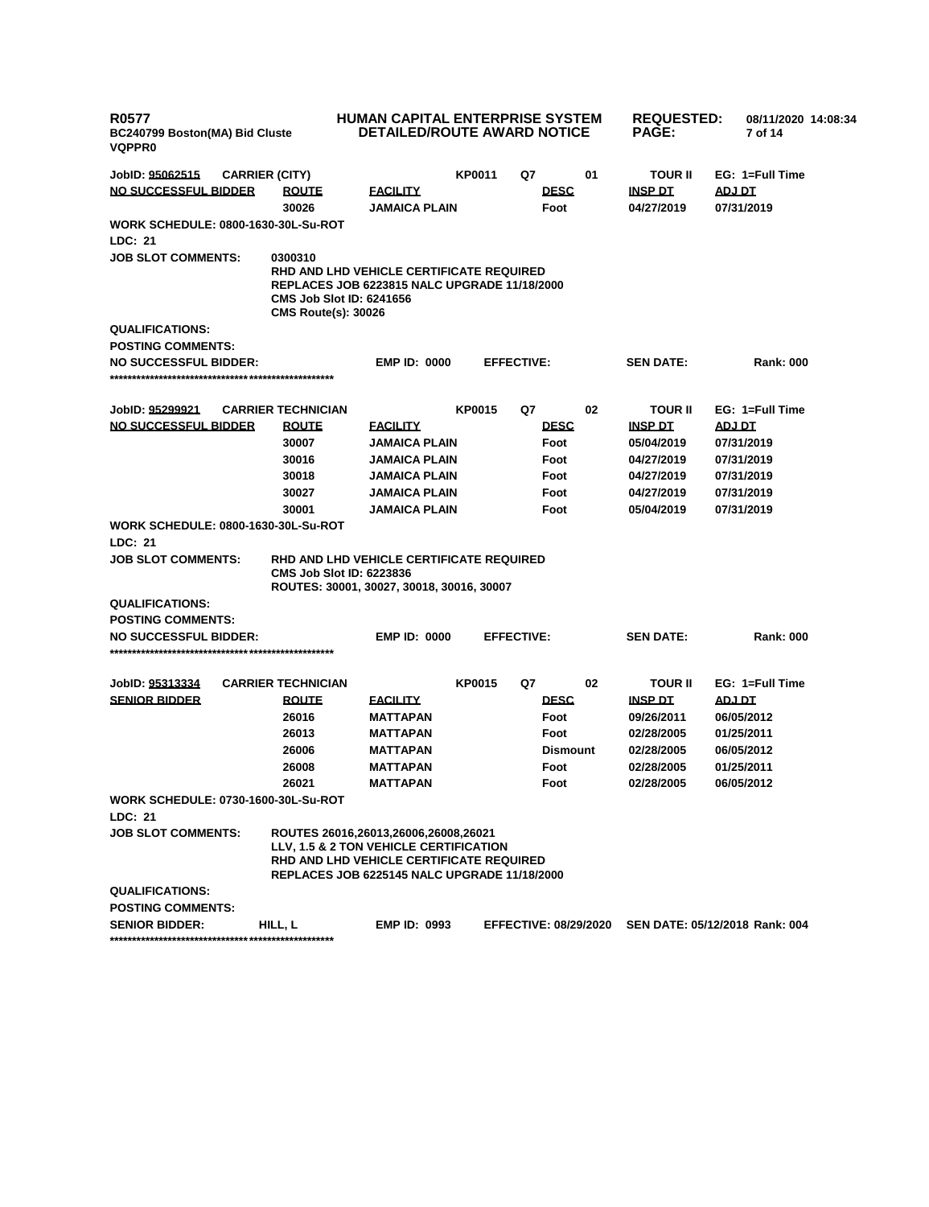| <b>R0577</b><br>BC240799 Boston(MA) Bid Cluste<br><b>VQPPR0</b> |                                                                          | <b>HUMAN CAPITAL ENTERPRISE SYSTEM</b><br><b>DETAILED/ROUTE AWARD NOTICE</b>                                                                                               |                                                                                                 |                              |                 | <b>REQUESTED:</b><br><b>PAGE:</b> | 08/11/2020 14:08:34<br>7 of 14 |
|-----------------------------------------------------------------|--------------------------------------------------------------------------|----------------------------------------------------------------------------------------------------------------------------------------------------------------------------|-------------------------------------------------------------------------------------------------|------------------------------|-----------------|-----------------------------------|--------------------------------|
| JobID: 95062515                                                 | <b>CARRIER (CITY)</b>                                                    |                                                                                                                                                                            | KP0011                                                                                          | Q7                           | 01              | <b>TOUR II</b>                    | EG: 1=Full Time                |
| NO SUCCESSFUL BIDDER                                            | <b>ROUTE</b>                                                             | <b>FACILITY</b>                                                                                                                                                            |                                                                                                 | <b>DESC</b>                  |                 | <b>INSP DT</b>                    | ADJ DT                         |
|                                                                 | 30026                                                                    | <b>JAMAICA PLAIN</b>                                                                                                                                                       |                                                                                                 | Foot                         |                 | 04/27/2019                        | 07/31/2019                     |
| WORK SCHEDULE: 0800-1630-30L-Su-ROT<br>LDC: 21                  |                                                                          |                                                                                                                                                                            |                                                                                                 |                              |                 |                                   |                                |
| <b>JOB SLOT COMMENTS:</b>                                       | 0300310<br><b>CMS Job Slot ID: 6241656</b><br><b>CMS Route(s): 30026</b> |                                                                                                                                                                            | RHD AND LHD VEHICLE CERTIFICATE REQUIRED<br><b>REPLACES JOB 6223815 NALC UPGRADE 11/18/2000</b> |                              |                 |                                   |                                |
| <b>QUALIFICATIONS:</b>                                          |                                                                          |                                                                                                                                                                            |                                                                                                 |                              |                 |                                   |                                |
| <b>POSTING COMMENTS:</b>                                        |                                                                          |                                                                                                                                                                            |                                                                                                 |                              |                 |                                   |                                |
| <b>NO SUCCESSFUL BIDDER:</b>                                    |                                                                          | <b>EMP ID: 0000</b>                                                                                                                                                        |                                                                                                 | <b>EFFECTIVE:</b>            |                 | <b>SEN DATE:</b>                  | <b>Rank: 000</b>               |
|                                                                 |                                                                          |                                                                                                                                                                            |                                                                                                 |                              |                 |                                   |                                |
| JobID: 95299921                                                 | <b>CARRIER TECHNICIAN</b>                                                |                                                                                                                                                                            | <b>KP0015</b>                                                                                   | Q7                           | 02              | <b>TOUR II</b>                    | EG: 1=Full Time                |
| <b>NO SUCCESSFUL BIDDER</b>                                     | <b>ROUTE</b>                                                             | <u>FACILITY</u>                                                                                                                                                            |                                                                                                 | <b>DESC</b>                  |                 | <b>INSP DT</b>                    | <b>ADJ DT</b>                  |
|                                                                 | 30007                                                                    | JAMAICA PLAIN                                                                                                                                                              |                                                                                                 | Foot                         |                 | 05/04/2019                        | 07/31/2019                     |
|                                                                 | 30016                                                                    | <b>JAMAICA PLAIN</b>                                                                                                                                                       |                                                                                                 | Foot                         |                 | 04/27/2019                        | 07/31/2019                     |
|                                                                 | 30018                                                                    | JAMAICA PLAIN                                                                                                                                                              |                                                                                                 | Foot                         |                 | 04/27/2019                        | 07/31/2019                     |
|                                                                 | 30027                                                                    | JAMAICA PLAIN                                                                                                                                                              |                                                                                                 | Foot                         |                 | 04/27/2019                        | 07/31/2019                     |
|                                                                 | 30001                                                                    | <b>JAMAICA PLAIN</b>                                                                                                                                                       |                                                                                                 | Foot                         |                 | 05/04/2019                        | 07/31/2019                     |
| WORK SCHEDULE: 0800-1630-30L-Su-ROT                             |                                                                          |                                                                                                                                                                            |                                                                                                 |                              |                 |                                   |                                |
| LDC: 21                                                         |                                                                          |                                                                                                                                                                            |                                                                                                 |                              |                 |                                   |                                |
| <b>JOB SLOT COMMENTS:</b>                                       | <b>CMS Job Slot ID: 6223836</b>                                          | RHD AND LHD VEHICLE CERTIFICATE REQUIRED<br>ROUTES: 30001, 30027, 30018, 30016, 30007                                                                                      |                                                                                                 |                              |                 |                                   |                                |
| <b>QUALIFICATIONS:</b>                                          |                                                                          |                                                                                                                                                                            |                                                                                                 |                              |                 |                                   |                                |
| <b>POSTING COMMENTS:</b>                                        |                                                                          |                                                                                                                                                                            |                                                                                                 |                              |                 |                                   |                                |
| <b>NO SUCCESSFUL BIDDER:</b>                                    |                                                                          | <b>EMP ID: 0000</b>                                                                                                                                                        |                                                                                                 | <b>EFFECTIVE:</b>            |                 | <b>SEN DATE:</b>                  | <b>Rank: 000</b>               |
|                                                                 |                                                                          |                                                                                                                                                                            |                                                                                                 |                              |                 |                                   |                                |
| JobID: 95313334                                                 | <b>CARRIER TECHNICIAN</b>                                                |                                                                                                                                                                            | <b>KP0015</b>                                                                                   | Q7                           | 02              | <b>TOUR II</b>                    | EG: 1=Full Time                |
| <b>SENIOR BIDDER</b>                                            | <b>ROUTE</b>                                                             | <u>FACILITY</u>                                                                                                                                                            |                                                                                                 | <b>DESC</b>                  |                 | <b>INSP DT</b>                    | <b>ADJ DT</b>                  |
|                                                                 | 26016                                                                    | MATTAPAN                                                                                                                                                                   |                                                                                                 | Foot                         |                 | 09/26/2011                        | 06/05/2012                     |
|                                                                 | 26013                                                                    | MATTAPAN                                                                                                                                                                   |                                                                                                 | Foot                         |                 | 02/28/2005                        | 01/25/2011                     |
|                                                                 | 26006                                                                    | MATTAPAN                                                                                                                                                                   |                                                                                                 |                              | <b>Dismount</b> | 02/28/2005                        | 06/05/2012                     |
|                                                                 | 26008                                                                    | MATTAPAN                                                                                                                                                                   |                                                                                                 | Foot                         |                 | 02/28/2005                        | 01/25/2011                     |
|                                                                 | 26021                                                                    | MATTAPAN                                                                                                                                                                   |                                                                                                 | Foot                         |                 | 02/28/2005                        | 06/05/2012                     |
| <b>WORK SCHEDULE: 0730-1600-30L-Su-ROT</b><br>LDC: 21           |                                                                          |                                                                                                                                                                            |                                                                                                 |                              |                 |                                   |                                |
| <b>JOB SLOT COMMENTS:</b>                                       |                                                                          | ROUTES 26016,26013,26006,26008,26021<br>LLV, 1.5 & 2 TON VEHICLE CERTIFICATION<br>RHD AND LHD VEHICLE CERTIFICATE REQUIRED<br>REPLACES JOB 6225145 NALC UPGRADE 11/18/2000 |                                                                                                 |                              |                 |                                   |                                |
| <b>QUALIFICATIONS:</b><br><b>POSTING COMMENTS:</b>              |                                                                          |                                                                                                                                                                            |                                                                                                 |                              |                 |                                   |                                |
| <b>SENIOR BIDDER:</b>                                           | HILL, L                                                                  | <b>EMP ID: 0993</b>                                                                                                                                                        |                                                                                                 | <b>EFFECTIVE: 08/29/2020</b> |                 |                                   | SEN DATE: 05/12/2018 Rank: 004 |
|                                                                 |                                                                          |                                                                                                                                                                            |                                                                                                 |                              |                 |                                   |                                |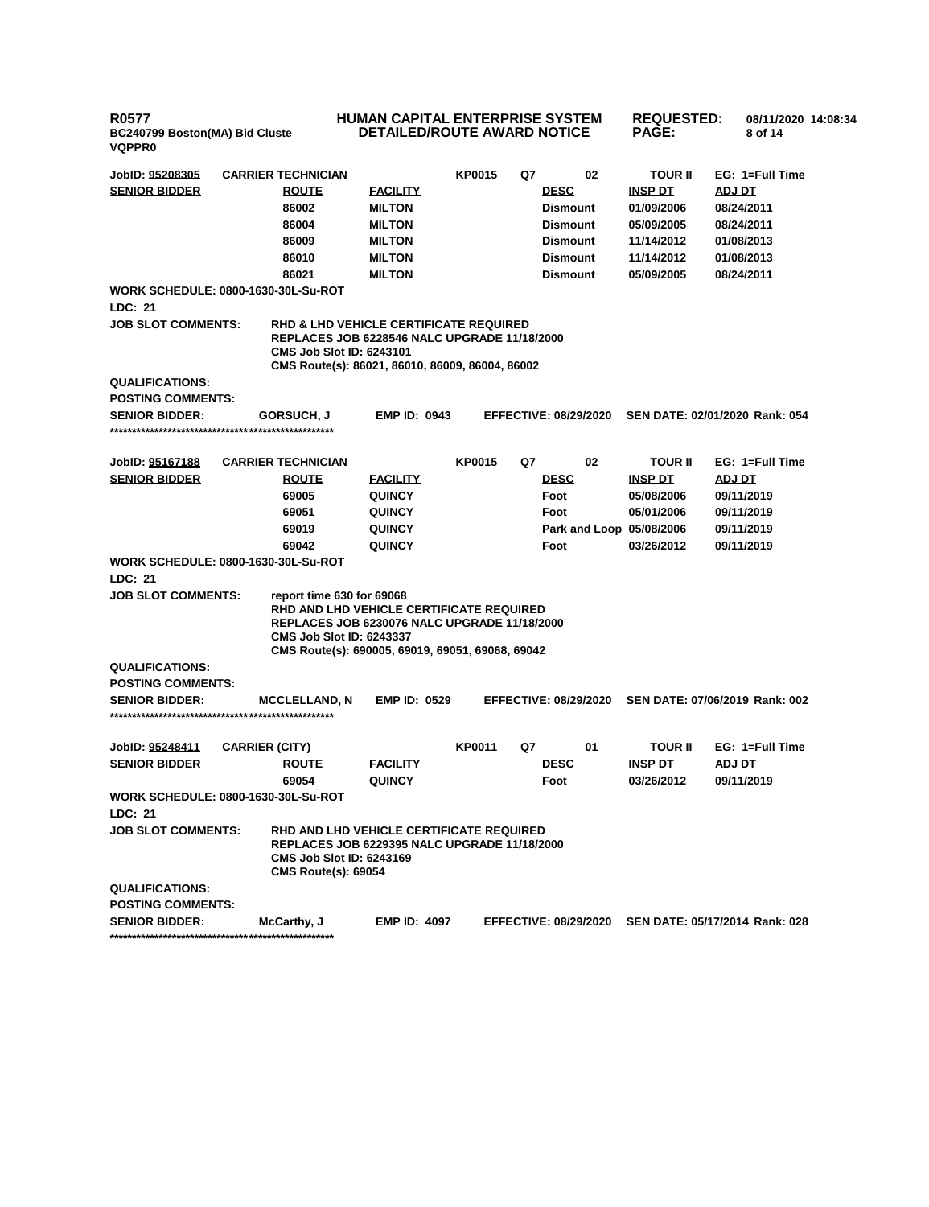# **HUMAN CAPITAL ENTERPRISE SYSTEM DETAILED/ROUTE AWARD NOTICE**

**REQUESTED: 08/11/2020 14:08:34 PAGE: 8 of 14** 

| JobID: <u>95208305</u>    | <b>CARRIER TECHNICIAN</b>                                                                                                                                                                                           |                                  | <b>KP0015</b> | Q7 | 02                           | <b>TOUR II</b>               | EG: 1=Full Time                |
|---------------------------|---------------------------------------------------------------------------------------------------------------------------------------------------------------------------------------------------------------------|----------------------------------|---------------|----|------------------------------|------------------------------|--------------------------------|
| <b>SENIOR BIDDER</b>      | <b>ROUTE</b>                                                                                                                                                                                                        | <b>EACILITY</b>                  |               |    | <b>DESC</b>                  | <b>INSP DT</b>               | ADJ DT                         |
|                           | 86002                                                                                                                                                                                                               | <b>MILTON</b>                    |               |    | <b>Dismount</b>              | 01/09/2006                   | 08/24/2011                     |
|                           | 86004                                                                                                                                                                                                               | <b>MILTON</b>                    |               |    | <b>Dismount</b>              | 05/09/2005                   | 08/24/2011                     |
|                           | 86009                                                                                                                                                                                                               | <b>MILTON</b>                    |               |    | <b>Dismount</b>              | 11/14/2012                   | 01/08/2013                     |
|                           | 86010                                                                                                                                                                                                               | <b>MILTON</b>                    |               |    | <b>Dismount</b>              | 11/14/2012                   | 01/08/2013                     |
|                           | 86021                                                                                                                                                                                                               | <b>MILTON</b>                    |               |    | <b>Dismount</b>              | 05/09/2005                   | 08/24/2011                     |
|                           | WORK SCHEDULE: 0800-1630-30L-Su-ROT                                                                                                                                                                                 |                                  |               |    |                              |                              |                                |
| <b>LDC: 21</b>            |                                                                                                                                                                                                                     |                                  |               |    |                              |                              |                                |
| <b>JOB SLOT COMMENTS:</b> | <b>RHD &amp; LHD VEHICLE CERTIFICATE REQUIRED</b><br>REPLACES JOB 6228546 NALC UPGRADE 11/18/2000<br><b>CMS Job Slot ID: 6243101</b><br>CMS Route(s): 86021, 86010, 86009, 86004, 86002                             |                                  |               |    |                              |                              |                                |
| <b>QUALIFICATIONS:</b>    |                                                                                                                                                                                                                     |                                  |               |    |                              |                              |                                |
| <b>POSTING COMMENTS:</b>  |                                                                                                                                                                                                                     |                                  |               |    |                              |                              |                                |
| <b>SENIOR BIDDER:</b>     | <b>GORSUCH, J</b>                                                                                                                                                                                                   | <b>EMP ID: 0943</b>              |               |    | <b>EFFECTIVE: 08/29/2020</b> |                              | SEN DATE: 02/01/2020 Rank: 054 |
|                           |                                                                                                                                                                                                                     |                                  |               |    |                              |                              |                                |
| JobID: 95167188           | <b>CARRIER TECHNICIAN</b>                                                                                                                                                                                           |                                  | <b>KP0015</b> | Q7 | 02                           | <b>TOUR II</b>               | EG: 1=Full Time                |
| <b>SENIOR BIDDER</b>      | <b>ROUTE</b>                                                                                                                                                                                                        | <b>FACILITY</b>                  |               |    | <b>DESC</b>                  | <b>INSP DT</b>               | <b>ADJ DT</b>                  |
|                           | 69005                                                                                                                                                                                                               | <b>QUINCY</b>                    |               |    | Foot                         | 05/08/2006                   | 09/11/2019                     |
|                           | 69051                                                                                                                                                                                                               | <b>QUINCY</b>                    |               |    | Foot                         | 05/01/2006                   | 09/11/2019                     |
|                           | 69019                                                                                                                                                                                                               | <b>QUINCY</b>                    |               |    | Park and Loop 05/08/2006     |                              | 09/11/2019                     |
|                           | 69042                                                                                                                                                                                                               | <b>QUINCY</b>                    |               |    | Foot                         | 03/26/2012                   | 09/11/2019                     |
|                           | <b>WORK SCHEDULE: 0800-1630-30L-Su-ROT</b>                                                                                                                                                                          |                                  |               |    |                              |                              |                                |
| LDC: 21                   |                                                                                                                                                                                                                     |                                  |               |    |                              |                              |                                |
| <b>JOB SLOT COMMENTS:</b> | report time 630 for 69068<br>RHD AND LHD VEHICLE CERTIFICATE REQUIRED<br><b>REPLACES JOB 6230076 NALC UPGRADE 11/18/2000</b><br><b>CMS Job Slot ID: 6243337</b><br>CMS Route(s): 690005, 69019, 69051, 69068, 69042 |                                  |               |    |                              |                              |                                |
| <b>QUALIFICATIONS:</b>    |                                                                                                                                                                                                                     |                                  |               |    |                              |                              |                                |
| <b>POSTING COMMENTS:</b>  |                                                                                                                                                                                                                     |                                  |               |    |                              |                              |                                |
| <b>SENIOR BIDDER:</b>     | <b>MCCLELLAND, N</b>                                                                                                                                                                                                | <b>EMP ID: 0529</b>              |               |    | <b>EFFECTIVE: 08/29/2020</b> |                              | SEN DATE: 07/06/2019 Rank: 002 |
|                           |                                                                                                                                                                                                                     |                                  |               |    |                              |                              |                                |
|                           |                                                                                                                                                                                                                     |                                  |               |    |                              |                              |                                |
| JobID: 95248411           | <b>CARRIER (CITY)</b>                                                                                                                                                                                               |                                  | <b>KP0011</b> | Q7 | 01                           | <b>TOUR II</b>               | EG: 1=Full Time                |
| <b>SENIOR BIDDER</b>      | <b>ROUTE</b><br>69054                                                                                                                                                                                               | <b>FACILITY</b><br><b>QUINCY</b> |               |    | <b>DESC</b><br>Foot          | <b>INSP DT</b><br>03/26/2012 | <b>ADJ DT</b><br>09/11/2019    |
|                           | <b>WORK SCHEDULE: 0800-1630-30L-Su-ROT</b>                                                                                                                                                                          |                                  |               |    |                              |                              |                                |
| LDC: 21                   |                                                                                                                                                                                                                     |                                  |               |    |                              |                              |                                |
| <b>JOB SLOT COMMENTS:</b> | RHD AND LHD VEHICLE CERTIFICATE REQUIRED<br><b>REPLACES JOB 6229395 NALC UPGRADE 11/18/2000</b><br><b>CMS Job Slot ID: 6243169</b><br><b>CMS Route(s): 69054</b>                                                    |                                  |               |    |                              |                              |                                |
| <b>QUALIFICATIONS:</b>    |                                                                                                                                                                                                                     |                                  |               |    |                              |                              |                                |
| <b>POSTING COMMENTS:</b>  |                                                                                                                                                                                                                     |                                  |               |    |                              |                              |                                |
| <b>SENIOR BIDDER:</b>     | McCarthy, J                                                                                                                                                                                                         | <b>EMP ID: 4097</b>              |               |    | <b>EFFECTIVE: 08/29/2020</b> |                              | SEN DATE: 05/17/2014 Rank: 028 |
|                           |                                                                                                                                                                                                                     |                                  |               |    |                              |                              |                                |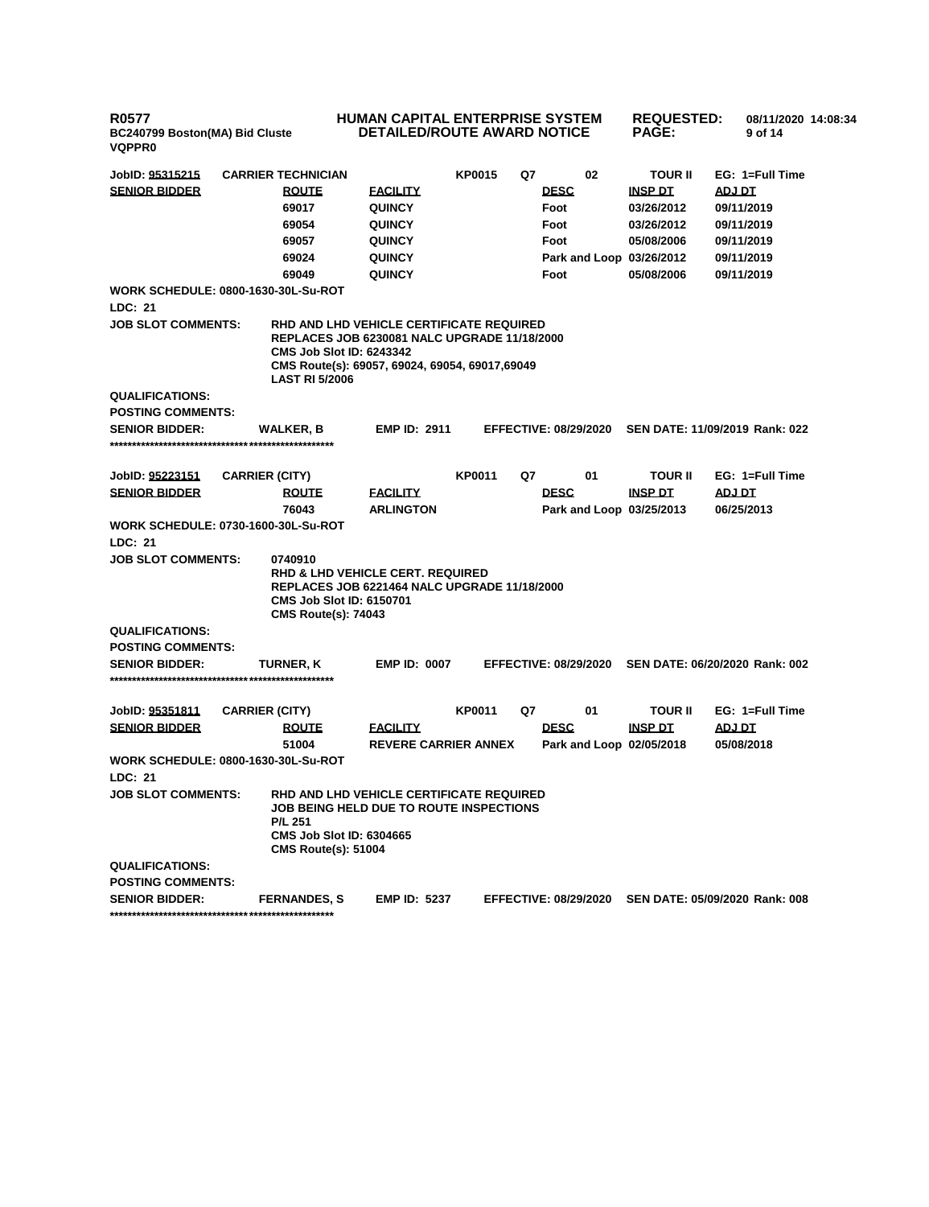### **HUMAN CAPITAL ENTERPRISE SYSTEM DETAILED/ROUTE AWARD NOTICE**

**REQUESTED: 08/11/2020 14:08:34 PAGE: 9 of 14** 

| <b>SENIOR BIDDER</b><br><b>ROUTE</b><br><b>DESC</b><br><b>INSP DT</b><br>ADJ DT<br><b>FACILITY</b><br>69017<br><b>QUINCY</b><br>Foot<br>03/26/2012<br>09/11/2019<br>69054<br><b>QUINCY</b><br>Foot<br>03/26/2012<br>09/11/2019<br>69057<br><b>QUINCY</b><br>Foot<br>05/08/2006<br>09/11/2019<br>69024<br><b>QUINCY</b><br>Park and Loop 03/26/2012<br>09/11/2019<br>69049<br><b>QUINCY</b><br>Foot<br>05/08/2006<br>09/11/2019<br><b>WORK SCHEDULE: 0800-1630-30L-Su-ROT</b><br>LDC: 21<br><b>JOB SLOT COMMENTS:</b><br>RHD AND LHD VEHICLE CERTIFICATE REQUIRED<br><b>REPLACES JOB 6230081 NALC UPGRADE 11/18/2000</b><br><b>CMS Job Slot ID: 6243342</b><br>CMS Route(s): 69057, 69024, 69054, 69017,69049<br><b>LAST RI 5/2006</b><br><b>QUALIFICATIONS:</b><br><b>POSTING COMMENTS:</b><br><b>EMP ID: 2911</b><br>SEN DATE: 11/09/2019 Rank: 022<br><b>SENIOR BIDDER:</b><br><b>WALKER, B</b><br><b>EFFECTIVE: 08/29/2020</b><br><b>KP0011</b><br>Q7<br>01<br>EG: 1=Full Time<br>JobID: 95223151<br><b>CARRIER (CITY)</b><br><b>TOUR II</b><br><b>DESC</b><br><b>SENIOR BIDDER</b><br>ADJ DT<br><b>ROUTE</b><br><b>FACILITY</b><br><b>INSP DT</b><br>76043<br><b>ARLINGTON</b><br>Park and Loop 03/25/2013<br>06/25/2013<br><b>WORK SCHEDULE: 0730-1600-30L-Su-ROT</b><br>LDC: 21<br><b>JOB SLOT COMMENTS:</b><br>0740910<br><b>RHD &amp; LHD VEHICLE CERT. REQUIRED</b><br>REPLACES JOB 6221464 NALC UPGRADE 11/18/2000<br><b>CMS Job Slot ID: 6150701</b><br><b>CMS Route(s): 74043</b><br><b>QUALIFICATIONS:</b><br><b>POSTING COMMENTS:</b><br><b>SENIOR BIDDER:</b><br><b>EMP ID: 0007</b><br><b>EFFECTIVE: 08/29/2020</b><br>SEN DATE: 06/20/2020 Rank: 002<br>TURNER, K<br>JobID: 95351811<br><b>CARRIER (CITY)</b><br><b>KP0011</b><br>Q7<br>01<br><b>TOUR II</b><br>EG: 1=Full Time<br><b>SENIOR BIDDER</b><br><b>DESC</b><br><b>FACILITY</b><br><b>INSP DT</b><br><b>TO LOA</b><br><b>ROUTE</b><br>51004<br><b>REVERE CARRIER ANNEX</b><br>05/08/2018<br>Park and Loop 02/05/2018<br><b>WORK SCHEDULE: 0800-1630-30L-Su-ROT</b><br><b>LDC: 21</b><br><b>JOB SLOT COMMENTS:</b><br>RHD AND LHD VEHICLE CERTIFICATE REQUIRED<br><b>JOB BEING HELD DUE TO ROUTE INSPECTIONS</b><br><b>P/L 251</b><br><b>CMS Job Slot ID: 6304665</b><br><b>CMS Route(s): 51004</b><br>QUALIFICATIONS:<br><b>POSTING COMMENTS:</b><br><b>EMP ID: 5237</b><br><b>EFFECTIVE: 08/29/2020</b><br>SEN DATE: 05/09/2020 Rank: 008<br><b>SENIOR BIDDER:</b><br><b>FERNANDES, S</b> | JobID: 95315215 | <b>CARRIER TECHNICIAN</b> | <b>KP0015</b> | Q7 | 02 | <b>TOUR II</b> | EG: 1=Full Time |
|-----------------------------------------------------------------------------------------------------------------------------------------------------------------------------------------------------------------------------------------------------------------------------------------------------------------------------------------------------------------------------------------------------------------------------------------------------------------------------------------------------------------------------------------------------------------------------------------------------------------------------------------------------------------------------------------------------------------------------------------------------------------------------------------------------------------------------------------------------------------------------------------------------------------------------------------------------------------------------------------------------------------------------------------------------------------------------------------------------------------------------------------------------------------------------------------------------------------------------------------------------------------------------------------------------------------------------------------------------------------------------------------------------------------------------------------------------------------------------------------------------------------------------------------------------------------------------------------------------------------------------------------------------------------------------------------------------------------------------------------------------------------------------------------------------------------------------------------------------------------------------------------------------------------------------------------------------------------------------------------------------------------------------------------------------------------------------------------------------------------------------------------------------------------------------------------------------------------------------------------------------------------------------------------------------------------------------------------------------------------------------------------------------------------------------------------------------------------------|-----------------|---------------------------|---------------|----|----|----------------|-----------------|
|                                                                                                                                                                                                                                                                                                                                                                                                                                                                                                                                                                                                                                                                                                                                                                                                                                                                                                                                                                                                                                                                                                                                                                                                                                                                                                                                                                                                                                                                                                                                                                                                                                                                                                                                                                                                                                                                                                                                                                                                                                                                                                                                                                                                                                                                                                                                                                                                                                                                       |                 |                           |               |    |    |                |                 |
|                                                                                                                                                                                                                                                                                                                                                                                                                                                                                                                                                                                                                                                                                                                                                                                                                                                                                                                                                                                                                                                                                                                                                                                                                                                                                                                                                                                                                                                                                                                                                                                                                                                                                                                                                                                                                                                                                                                                                                                                                                                                                                                                                                                                                                                                                                                                                                                                                                                                       |                 |                           |               |    |    |                |                 |
|                                                                                                                                                                                                                                                                                                                                                                                                                                                                                                                                                                                                                                                                                                                                                                                                                                                                                                                                                                                                                                                                                                                                                                                                                                                                                                                                                                                                                                                                                                                                                                                                                                                                                                                                                                                                                                                                                                                                                                                                                                                                                                                                                                                                                                                                                                                                                                                                                                                                       |                 |                           |               |    |    |                |                 |
|                                                                                                                                                                                                                                                                                                                                                                                                                                                                                                                                                                                                                                                                                                                                                                                                                                                                                                                                                                                                                                                                                                                                                                                                                                                                                                                                                                                                                                                                                                                                                                                                                                                                                                                                                                                                                                                                                                                                                                                                                                                                                                                                                                                                                                                                                                                                                                                                                                                                       |                 |                           |               |    |    |                |                 |
|                                                                                                                                                                                                                                                                                                                                                                                                                                                                                                                                                                                                                                                                                                                                                                                                                                                                                                                                                                                                                                                                                                                                                                                                                                                                                                                                                                                                                                                                                                                                                                                                                                                                                                                                                                                                                                                                                                                                                                                                                                                                                                                                                                                                                                                                                                                                                                                                                                                                       |                 |                           |               |    |    |                |                 |
|                                                                                                                                                                                                                                                                                                                                                                                                                                                                                                                                                                                                                                                                                                                                                                                                                                                                                                                                                                                                                                                                                                                                                                                                                                                                                                                                                                                                                                                                                                                                                                                                                                                                                                                                                                                                                                                                                                                                                                                                                                                                                                                                                                                                                                                                                                                                                                                                                                                                       |                 |                           |               |    |    |                |                 |
|                                                                                                                                                                                                                                                                                                                                                                                                                                                                                                                                                                                                                                                                                                                                                                                                                                                                                                                                                                                                                                                                                                                                                                                                                                                                                                                                                                                                                                                                                                                                                                                                                                                                                                                                                                                                                                                                                                                                                                                                                                                                                                                                                                                                                                                                                                                                                                                                                                                                       |                 |                           |               |    |    |                |                 |
|                                                                                                                                                                                                                                                                                                                                                                                                                                                                                                                                                                                                                                                                                                                                                                                                                                                                                                                                                                                                                                                                                                                                                                                                                                                                                                                                                                                                                                                                                                                                                                                                                                                                                                                                                                                                                                                                                                                                                                                                                                                                                                                                                                                                                                                                                                                                                                                                                                                                       |                 |                           |               |    |    |                |                 |
|                                                                                                                                                                                                                                                                                                                                                                                                                                                                                                                                                                                                                                                                                                                                                                                                                                                                                                                                                                                                                                                                                                                                                                                                                                                                                                                                                                                                                                                                                                                                                                                                                                                                                                                                                                                                                                                                                                                                                                                                                                                                                                                                                                                                                                                                                                                                                                                                                                                                       |                 |                           |               |    |    |                |                 |
|                                                                                                                                                                                                                                                                                                                                                                                                                                                                                                                                                                                                                                                                                                                                                                                                                                                                                                                                                                                                                                                                                                                                                                                                                                                                                                                                                                                                                                                                                                                                                                                                                                                                                                                                                                                                                                                                                                                                                                                                                                                                                                                                                                                                                                                                                                                                                                                                                                                                       |                 |                           |               |    |    |                |                 |
|                                                                                                                                                                                                                                                                                                                                                                                                                                                                                                                                                                                                                                                                                                                                                                                                                                                                                                                                                                                                                                                                                                                                                                                                                                                                                                                                                                                                                                                                                                                                                                                                                                                                                                                                                                                                                                                                                                                                                                                                                                                                                                                                                                                                                                                                                                                                                                                                                                                                       |                 |                           |               |    |    |                |                 |
|                                                                                                                                                                                                                                                                                                                                                                                                                                                                                                                                                                                                                                                                                                                                                                                                                                                                                                                                                                                                                                                                                                                                                                                                                                                                                                                                                                                                                                                                                                                                                                                                                                                                                                                                                                                                                                                                                                                                                                                                                                                                                                                                                                                                                                                                                                                                                                                                                                                                       |                 |                           |               |    |    |                |                 |
|                                                                                                                                                                                                                                                                                                                                                                                                                                                                                                                                                                                                                                                                                                                                                                                                                                                                                                                                                                                                                                                                                                                                                                                                                                                                                                                                                                                                                                                                                                                                                                                                                                                                                                                                                                                                                                                                                                                                                                                                                                                                                                                                                                                                                                                                                                                                                                                                                                                                       |                 |                           |               |    |    |                |                 |
|                                                                                                                                                                                                                                                                                                                                                                                                                                                                                                                                                                                                                                                                                                                                                                                                                                                                                                                                                                                                                                                                                                                                                                                                                                                                                                                                                                                                                                                                                                                                                                                                                                                                                                                                                                                                                                                                                                                                                                                                                                                                                                                                                                                                                                                                                                                                                                                                                                                                       |                 |                           |               |    |    |                |                 |
|                                                                                                                                                                                                                                                                                                                                                                                                                                                                                                                                                                                                                                                                                                                                                                                                                                                                                                                                                                                                                                                                                                                                                                                                                                                                                                                                                                                                                                                                                                                                                                                                                                                                                                                                                                                                                                                                                                                                                                                                                                                                                                                                                                                                                                                                                                                                                                                                                                                                       |                 |                           |               |    |    |                |                 |
|                                                                                                                                                                                                                                                                                                                                                                                                                                                                                                                                                                                                                                                                                                                                                                                                                                                                                                                                                                                                                                                                                                                                                                                                                                                                                                                                                                                                                                                                                                                                                                                                                                                                                                                                                                                                                                                                                                                                                                                                                                                                                                                                                                                                                                                                                                                                                                                                                                                                       |                 |                           |               |    |    |                |                 |
|                                                                                                                                                                                                                                                                                                                                                                                                                                                                                                                                                                                                                                                                                                                                                                                                                                                                                                                                                                                                                                                                                                                                                                                                                                                                                                                                                                                                                                                                                                                                                                                                                                                                                                                                                                                                                                                                                                                                                                                                                                                                                                                                                                                                                                                                                                                                                                                                                                                                       |                 |                           |               |    |    |                |                 |
|                                                                                                                                                                                                                                                                                                                                                                                                                                                                                                                                                                                                                                                                                                                                                                                                                                                                                                                                                                                                                                                                                                                                                                                                                                                                                                                                                                                                                                                                                                                                                                                                                                                                                                                                                                                                                                                                                                                                                                                                                                                                                                                                                                                                                                                                                                                                                                                                                                                                       |                 |                           |               |    |    |                |                 |
|                                                                                                                                                                                                                                                                                                                                                                                                                                                                                                                                                                                                                                                                                                                                                                                                                                                                                                                                                                                                                                                                                                                                                                                                                                                                                                                                                                                                                                                                                                                                                                                                                                                                                                                                                                                                                                                                                                                                                                                                                                                                                                                                                                                                                                                                                                                                                                                                                                                                       |                 |                           |               |    |    |                |                 |
|                                                                                                                                                                                                                                                                                                                                                                                                                                                                                                                                                                                                                                                                                                                                                                                                                                                                                                                                                                                                                                                                                                                                                                                                                                                                                                                                                                                                                                                                                                                                                                                                                                                                                                                                                                                                                                                                                                                                                                                                                                                                                                                                                                                                                                                                                                                                                                                                                                                                       |                 |                           |               |    |    |                |                 |
|                                                                                                                                                                                                                                                                                                                                                                                                                                                                                                                                                                                                                                                                                                                                                                                                                                                                                                                                                                                                                                                                                                                                                                                                                                                                                                                                                                                                                                                                                                                                                                                                                                                                                                                                                                                                                                                                                                                                                                                                                                                                                                                                                                                                                                                                                                                                                                                                                                                                       |                 |                           |               |    |    |                |                 |
|                                                                                                                                                                                                                                                                                                                                                                                                                                                                                                                                                                                                                                                                                                                                                                                                                                                                                                                                                                                                                                                                                                                                                                                                                                                                                                                                                                                                                                                                                                                                                                                                                                                                                                                                                                                                                                                                                                                                                                                                                                                                                                                                                                                                                                                                                                                                                                                                                                                                       |                 |                           |               |    |    |                |                 |
|                                                                                                                                                                                                                                                                                                                                                                                                                                                                                                                                                                                                                                                                                                                                                                                                                                                                                                                                                                                                                                                                                                                                                                                                                                                                                                                                                                                                                                                                                                                                                                                                                                                                                                                                                                                                                                                                                                                                                                                                                                                                                                                                                                                                                                                                                                                                                                                                                                                                       |                 |                           |               |    |    |                |                 |
|                                                                                                                                                                                                                                                                                                                                                                                                                                                                                                                                                                                                                                                                                                                                                                                                                                                                                                                                                                                                                                                                                                                                                                                                                                                                                                                                                                                                                                                                                                                                                                                                                                                                                                                                                                                                                                                                                                                                                                                                                                                                                                                                                                                                                                                                                                                                                                                                                                                                       |                 |                           |               |    |    |                |                 |
|                                                                                                                                                                                                                                                                                                                                                                                                                                                                                                                                                                                                                                                                                                                                                                                                                                                                                                                                                                                                                                                                                                                                                                                                                                                                                                                                                                                                                                                                                                                                                                                                                                                                                                                                                                                                                                                                                                                                                                                                                                                                                                                                                                                                                                                                                                                                                                                                                                                                       |                 |                           |               |    |    |                |                 |
|                                                                                                                                                                                                                                                                                                                                                                                                                                                                                                                                                                                                                                                                                                                                                                                                                                                                                                                                                                                                                                                                                                                                                                                                                                                                                                                                                                                                                                                                                                                                                                                                                                                                                                                                                                                                                                                                                                                                                                                                                                                                                                                                                                                                                                                                                                                                                                                                                                                                       |                 |                           |               |    |    |                |                 |
|                                                                                                                                                                                                                                                                                                                                                                                                                                                                                                                                                                                                                                                                                                                                                                                                                                                                                                                                                                                                                                                                                                                                                                                                                                                                                                                                                                                                                                                                                                                                                                                                                                                                                                                                                                                                                                                                                                                                                                                                                                                                                                                                                                                                                                                                                                                                                                                                                                                                       |                 |                           |               |    |    |                |                 |
|                                                                                                                                                                                                                                                                                                                                                                                                                                                                                                                                                                                                                                                                                                                                                                                                                                                                                                                                                                                                                                                                                                                                                                                                                                                                                                                                                                                                                                                                                                                                                                                                                                                                                                                                                                                                                                                                                                                                                                                                                                                                                                                                                                                                                                                                                                                                                                                                                                                                       |                 |                           |               |    |    |                |                 |
|                                                                                                                                                                                                                                                                                                                                                                                                                                                                                                                                                                                                                                                                                                                                                                                                                                                                                                                                                                                                                                                                                                                                                                                                                                                                                                                                                                                                                                                                                                                                                                                                                                                                                                                                                                                                                                                                                                                                                                                                                                                                                                                                                                                                                                                                                                                                                                                                                                                                       |                 |                           |               |    |    |                |                 |
|                                                                                                                                                                                                                                                                                                                                                                                                                                                                                                                                                                                                                                                                                                                                                                                                                                                                                                                                                                                                                                                                                                                                                                                                                                                                                                                                                                                                                                                                                                                                                                                                                                                                                                                                                                                                                                                                                                                                                                                                                                                                                                                                                                                                                                                                                                                                                                                                                                                                       |                 |                           |               |    |    |                |                 |
|                                                                                                                                                                                                                                                                                                                                                                                                                                                                                                                                                                                                                                                                                                                                                                                                                                                                                                                                                                                                                                                                                                                                                                                                                                                                                                                                                                                                                                                                                                                                                                                                                                                                                                                                                                                                                                                                                                                                                                                                                                                                                                                                                                                                                                                                                                                                                                                                                                                                       |                 |                           |               |    |    |                |                 |
|                                                                                                                                                                                                                                                                                                                                                                                                                                                                                                                                                                                                                                                                                                                                                                                                                                                                                                                                                                                                                                                                                                                                                                                                                                                                                                                                                                                                                                                                                                                                                                                                                                                                                                                                                                                                                                                                                                                                                                                                                                                                                                                                                                                                                                                                                                                                                                                                                                                                       |                 |                           |               |    |    |                |                 |
|                                                                                                                                                                                                                                                                                                                                                                                                                                                                                                                                                                                                                                                                                                                                                                                                                                                                                                                                                                                                                                                                                                                                                                                                                                                                                                                                                                                                                                                                                                                                                                                                                                                                                                                                                                                                                                                                                                                                                                                                                                                                                                                                                                                                                                                                                                                                                                                                                                                                       |                 |                           |               |    |    |                |                 |
|                                                                                                                                                                                                                                                                                                                                                                                                                                                                                                                                                                                                                                                                                                                                                                                                                                                                                                                                                                                                                                                                                                                                                                                                                                                                                                                                                                                                                                                                                                                                                                                                                                                                                                                                                                                                                                                                                                                                                                                                                                                                                                                                                                                                                                                                                                                                                                                                                                                                       |                 |                           |               |    |    |                |                 |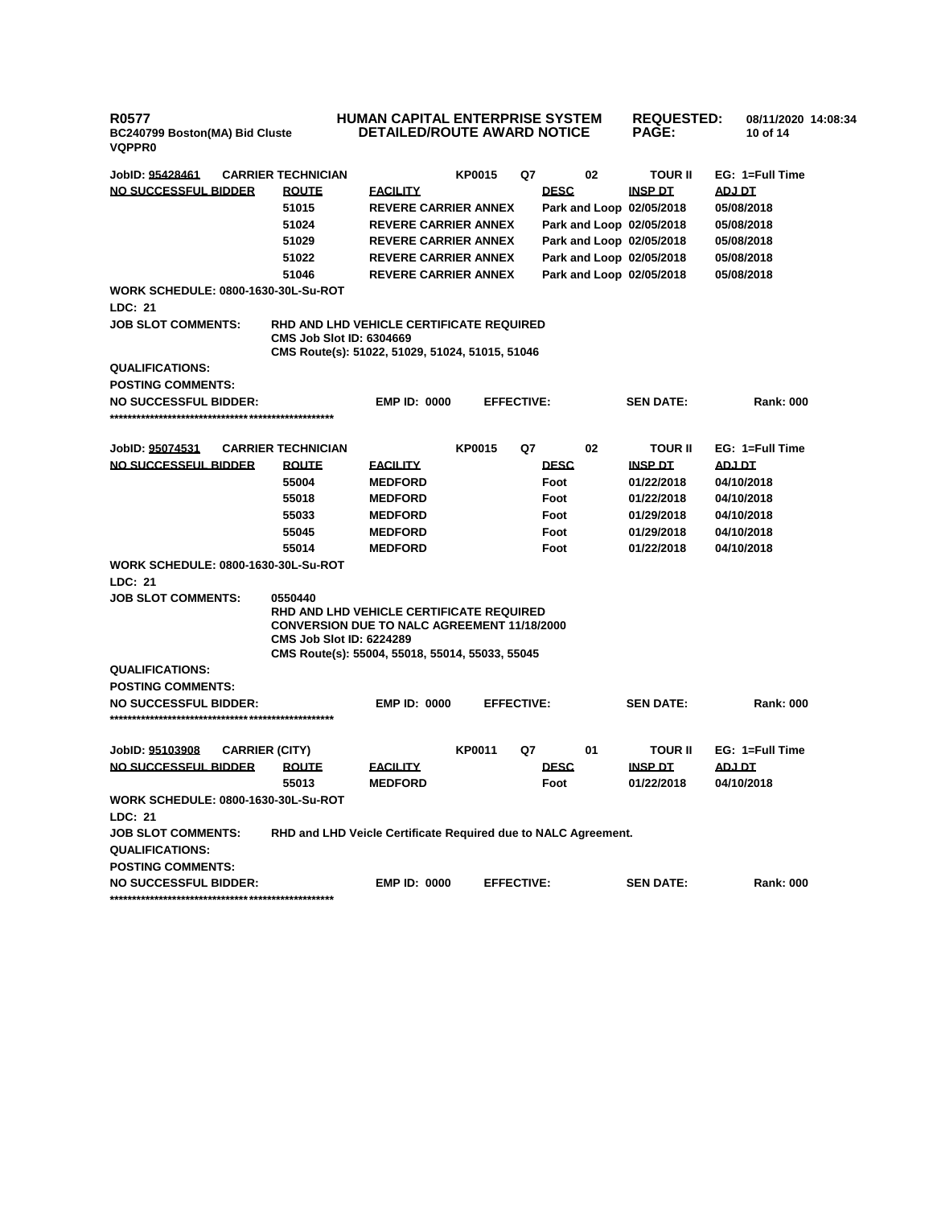#### **HUMAN CAPITAL ENTERPRISE SYSTEM DETAILED/ROUTE AWARD NOTICE REQUESTED: 08/11/2020 14:08:34 PAGE: 10 of 14**

| JobID: 95428461                            | <b>CARRIER TECHNICIAN</b>                                                                                                                                                                       |                                   | <b>KP0015</b>     | Q7 |                     | 02 | <b>TOUR II</b>               | EG: 1=Full Time      |
|--------------------------------------------|-------------------------------------------------------------------------------------------------------------------------------------------------------------------------------------------------|-----------------------------------|-------------------|----|---------------------|----|------------------------------|----------------------|
| NO SUCCESSFUL BIDDER                       | <b>ROUTE</b>                                                                                                                                                                                    | <b>FACILITY</b>                   |                   |    | <b>DESC</b>         |    | <b>INSP DT</b>               | ADJ DT               |
|                                            | 51015                                                                                                                                                                                           | <b>REVERE CARRIER ANNEX</b>       |                   |    |                     |    | Park and Loop 02/05/2018     | 05/08/2018           |
|                                            | 51024                                                                                                                                                                                           | <b>REVERE CARRIER ANNEX</b>       |                   |    |                     |    | Park and Loop 02/05/2018     | 05/08/2018           |
|                                            | 51029                                                                                                                                                                                           | <b>REVERE CARRIER ANNEX</b>       |                   |    |                     |    | Park and Loop 02/05/2018     | 05/08/2018           |
|                                            | 51022                                                                                                                                                                                           | <b>REVERE CARRIER ANNEX</b>       |                   |    |                     |    | Park and Loop 02/05/2018     | 05/08/2018           |
|                                            | 51046                                                                                                                                                                                           | <b>REVERE CARRIER ANNEX</b>       |                   |    |                     |    | Park and Loop 02/05/2018     | 05/08/2018           |
| <b>WORK SCHEDULE: 0800-1630-30L-Su-ROT</b> |                                                                                                                                                                                                 |                                   |                   |    |                     |    |                              |                      |
| <b>LDC: 21</b>                             |                                                                                                                                                                                                 |                                   |                   |    |                     |    |                              |                      |
| <b>JOB SLOT COMMENTS:</b>                  | RHD AND LHD VEHICLE CERTIFICATE REQUIRED<br><b>CMS Job Slot ID: 6304669</b><br>CMS Route(s): 51022, 51029, 51024, 51015, 51046                                                                  |                                   |                   |    |                     |    |                              |                      |
| <b>QUALIFICATIONS:</b>                     |                                                                                                                                                                                                 |                                   |                   |    |                     |    |                              |                      |
| <b>POSTING COMMENTS:</b>                   |                                                                                                                                                                                                 |                                   |                   |    |                     |    |                              |                      |
| <b>NO SUCCESSFUL BIDDER:</b>               |                                                                                                                                                                                                 | <b>EMP ID: 0000</b>               | <b>EFFECTIVE:</b> |    |                     |    | <b>SEN DATE:</b>             | <b>Rank: 000</b>     |
|                                            |                                                                                                                                                                                                 |                                   |                   |    |                     |    |                              |                      |
|                                            |                                                                                                                                                                                                 |                                   |                   |    |                     |    |                              |                      |
| JobID: 95074531                            | <b>CARRIER TECHNICIAN</b>                                                                                                                                                                       |                                   | <b>KP0015</b>     | Q7 |                     | 02 | <b>TOUR II</b>               | EG: 1=Full Time      |
| NO SUCCESSFUL BIDDER                       | <b>ROUTE</b>                                                                                                                                                                                    | <b>EACILITY</b>                   |                   |    | <b>DESC</b>         |    | <b>INSP DT</b>               | ADJ DT               |
|                                            | 55004                                                                                                                                                                                           | <b>MEDFORD</b>                    |                   |    | Foot                |    | 01/22/2018                   | 04/10/2018           |
|                                            | 55018                                                                                                                                                                                           | <b>MEDFORD</b>                    |                   |    | Foot                |    | 01/22/2018                   | 04/10/2018           |
|                                            | 55033                                                                                                                                                                                           | <b>MEDFORD</b>                    |                   |    | Foot                |    | 01/29/2018                   | 04/10/2018           |
|                                            | 55045                                                                                                                                                                                           | <b>MEDFORD</b>                    |                   |    | Foot                |    | 01/29/2018                   | 04/10/2018           |
|                                            | 55014                                                                                                                                                                                           | <b>MEDFORD</b>                    |                   |    | Foot                |    | 01/22/2018                   | 04/10/2018           |
| <b>WORK SCHEDULE: 0800-1630-30L-Su-ROT</b> |                                                                                                                                                                                                 |                                   |                   |    |                     |    |                              |                      |
| LDC: 21                                    |                                                                                                                                                                                                 |                                   |                   |    |                     |    |                              |                      |
| <b>JOB SLOT COMMENTS:</b>                  | 0550440<br>RHD AND LHD VEHICLE CERTIFICATE REQUIRED<br><b>CONVERSION DUE TO NALC AGREEMENT 11/18/2000</b><br><b>CMS Job Slot ID: 6224289</b><br>CMS Route(s): 55004, 55018, 55014, 55033, 55045 |                                   |                   |    |                     |    |                              |                      |
| QUALIFICATIONS:                            |                                                                                                                                                                                                 |                                   |                   |    |                     |    |                              |                      |
| <b>POSTING COMMENTS:</b>                   |                                                                                                                                                                                                 |                                   |                   |    |                     |    |                              |                      |
| <b>NO SUCCESSFUL BIDDER:</b>               |                                                                                                                                                                                                 | <b>EMP ID: 0000</b>               | <b>EFFECTIVE:</b> |    |                     |    | <b>SEN DATE:</b>             | <b>Rank: 000</b>     |
|                                            |                                                                                                                                                                                                 |                                   |                   |    |                     |    |                              |                      |
|                                            |                                                                                                                                                                                                 |                                   |                   |    |                     |    |                              |                      |
| JobID: 95103908<br><b>CARRIER (CITY)</b>   |                                                                                                                                                                                                 |                                   | <b>KP0011</b>     | Q7 |                     | 01 | <b>TOUR II</b>               | EG: 1=Full Time      |
| NO SUCCESSFUL BIDDER                       | <b>ROUTE</b><br>55013                                                                                                                                                                           | <b>FACILITY</b><br><b>MEDFORD</b> |                   |    | <b>DESC</b><br>Foot |    | <b>INSP DT</b><br>01/22/2018 | ADJ DT<br>04/10/2018 |
| <b>WORK SCHEDULE: 0800-1630-30L-Su-ROT</b> |                                                                                                                                                                                                 |                                   |                   |    |                     |    |                              |                      |
| LDC: 21                                    |                                                                                                                                                                                                 |                                   |                   |    |                     |    |                              |                      |
| <b>JOB SLOT COMMENTS:</b>                  | RHD and LHD Veicle Certificate Required due to NALC Agreement.                                                                                                                                  |                                   |                   |    |                     |    |                              |                      |
| <b>QUALIFICATIONS:</b>                     |                                                                                                                                                                                                 |                                   |                   |    |                     |    |                              |                      |
| <b>POSTING COMMENTS:</b>                   |                                                                                                                                                                                                 |                                   |                   |    |                     |    |                              |                      |
| <b>NO SUCCESSFUL BIDDER:</b>               |                                                                                                                                                                                                 | <b>EMP ID: 0000</b>               | <b>EFFECTIVE:</b> |    |                     |    | <b>SEN DATE:</b>             | <b>Rank: 000</b>     |
|                                            |                                                                                                                                                                                                 |                                   |                   |    |                     |    |                              |                      |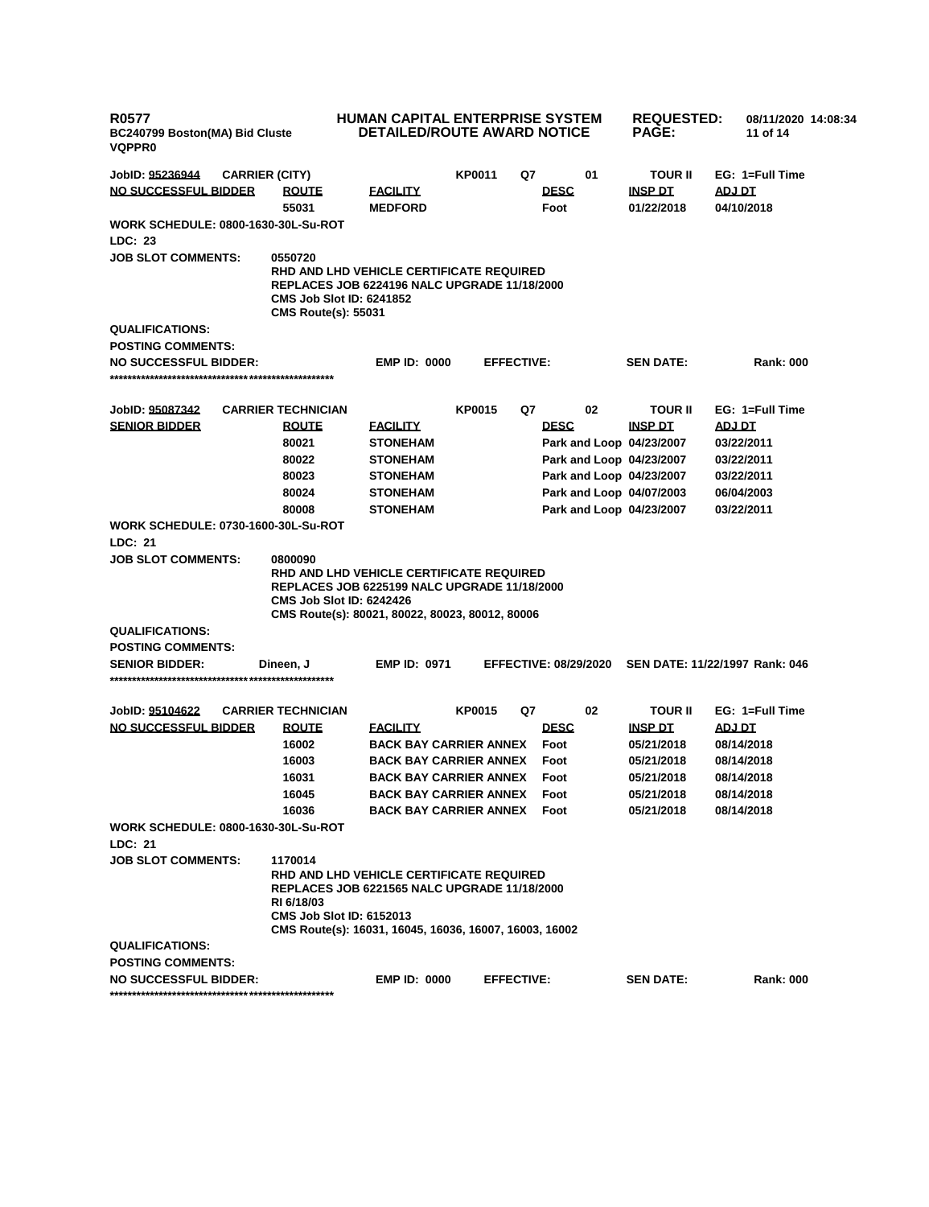| <b>R0577</b><br>BC240799 Boston(MA) Bid Cluste<br><b>VQPPR0</b> |                                                                          | <b>HUMAN CAPITAL ENTERPRISE SYSTEM</b><br><b>DETAILED/ROUTE AWARD NOTICE</b>                                                                                     |               |                   |                                         | <b>REQUESTED:</b><br><b>PAGE:</b> | 08/11/2020 14:08:34<br>11 of 14 |
|-----------------------------------------------------------------|--------------------------------------------------------------------------|------------------------------------------------------------------------------------------------------------------------------------------------------------------|---------------|-------------------|-----------------------------------------|-----------------------------------|---------------------------------|
| JobID: 95236944<br><b>CARRIER (CITY)</b>                        |                                                                          |                                                                                                                                                                  | <b>KP0011</b> | Q7                | 01                                      | <b>TOUR II</b>                    | EG: 1=Full Time                 |
| NO SUCCESSFUL BIDDER                                            | <b>ROUTE</b><br>55031                                                    | <b>FACILITY</b><br><b>MEDFORD</b>                                                                                                                                |               |                   | <b>DESC</b><br>Foot                     | <b>INSP DT</b><br>01/22/2018      | ADJ DT<br>04/10/2018            |
| <b>WORK SCHEDULE: 0800-1630-30L-Su-ROT</b>                      |                                                                          |                                                                                                                                                                  |               |                   |                                         |                                   |                                 |
| LDC: 23                                                         |                                                                          |                                                                                                                                                                  |               |                   |                                         |                                   |                                 |
| <b>JOB SLOT COMMENTS:</b>                                       | 0550720<br><b>CMS Job Slot ID: 6241852</b><br><b>CMS Route(s): 55031</b> | <b>RHD AND LHD VEHICLE CERTIFICATE REQUIRED</b><br><b>REPLACES JOB 6224196 NALC UPGRADE 11/18/2000</b>                                                           |               |                   |                                         |                                   |                                 |
| <b>QUALIFICATIONS:</b>                                          |                                                                          |                                                                                                                                                                  |               |                   |                                         |                                   |                                 |
| <b>POSTING COMMENTS:</b>                                        |                                                                          |                                                                                                                                                                  |               |                   |                                         |                                   |                                 |
| <b>NO SUCCESSFUL BIDDER:</b>                                    |                                                                          | <b>EMP ID: 0000</b>                                                                                                                                              |               | <b>EFFECTIVE:</b> |                                         | <b>SEN DATE:</b>                  | <b>Rank: 000</b>                |
| JobID: 95087342                                                 | <b>CARRIER TECHNICIAN</b>                                                |                                                                                                                                                                  | <b>KP0015</b> | Q7                | 02                                      | <b>TOUR II</b>                    | EG: 1=Full Time                 |
| <b>SENIOR BIDDER</b>                                            | <b>ROUTE</b><br>80021                                                    | <b>FACILITY</b><br><b>STONEHAM</b>                                                                                                                               |               |                   | <b>DESC</b><br>Park and Loop 04/23/2007 | <b>INSP DT</b>                    | <b>ADJ DT</b><br>03/22/2011     |
|                                                                 | 80022                                                                    | <b>STONEHAM</b>                                                                                                                                                  |               |                   | Park and Loop 04/23/2007                |                                   | 03/22/2011                      |
|                                                                 | 80023                                                                    | <b>STONEHAM</b>                                                                                                                                                  |               |                   | Park and Loop 04/23/2007                |                                   | 03/22/2011                      |
|                                                                 | 80024                                                                    | <b>STONEHAM</b>                                                                                                                                                  |               |                   | Park and Loop 04/07/2003                |                                   | 06/04/2003                      |
|                                                                 | 80008                                                                    | <b>STONEHAM</b>                                                                                                                                                  |               |                   | Park and Loop 04/23/2007                |                                   | 03/22/2011                      |
| <b>WORK SCHEDULE: 0730-1600-30L-Su-ROT</b><br>LDC: 21           |                                                                          |                                                                                                                                                                  |               |                   |                                         |                                   |                                 |
| <b>JOB SLOT COMMENTS:</b>                                       | 0800090<br><b>CMS Job Slot ID: 6242426</b>                               | RHD AND LHD VEHICLE CERTIFICATE REQUIRED<br><b>REPLACES JOB 6225199 NALC UPGRADE 11/18/2000</b><br>CMS Route(s): 80021, 80022, 80023, 80012, 80006               |               |                   |                                         |                                   |                                 |
| <b>QUALIFICATIONS:</b>                                          |                                                                          |                                                                                                                                                                  |               |                   |                                         |                                   |                                 |
| <b>POSTING COMMENTS:</b>                                        |                                                                          |                                                                                                                                                                  |               |                   |                                         |                                   |                                 |
| <b>SENIOR BIDDER:</b>                                           | Dineen, J                                                                | <b>EMP ID: 0971</b>                                                                                                                                              |               |                   | <b>EFFECTIVE: 08/29/2020</b>            |                                   | SEN DATE: 11/22/1997 Rank: 046  |
| JobID: 95104622                                                 | <b>CARRIER TECHNICIAN</b>                                                |                                                                                                                                                                  | <b>KP0015</b> | Q7                | 02                                      | <b>TOUR II</b>                    | EG: 1=Full Time                 |
| <b>NO SUCCESSFUL BIDDER</b>                                     | <b>ROUTE</b>                                                             | <b>FACILITY</b>                                                                                                                                                  |               |                   | <b>DESC</b>                             | <b>INSP DT</b>                    | <u>ADJ DT</u>                   |
|                                                                 | 16002                                                                    | <b>BACK BAY CARRIER ANNEX</b>                                                                                                                                    |               |                   | Foot                                    | 05/21/2018                        | 08/14/2018                      |
|                                                                 | 16003                                                                    | <b>BACK BAY CARRIER ANNEX</b>                                                                                                                                    |               |                   | Foot                                    | 05/21/2018                        | 08/14/2018                      |
|                                                                 | 16031                                                                    | <b>BACK BAY CARRIER ANNEX</b>                                                                                                                                    |               |                   | Foot                                    | 05/21/2018                        | 08/14/2018                      |
|                                                                 | 16045                                                                    | <b>BACK BAY CARRIER ANNEX</b>                                                                                                                                    |               |                   | Foot                                    | 05/21/2018                        | 08/14/2018                      |
|                                                                 | 16036                                                                    | <b>BACK BAY CARRIER ANNEX</b>                                                                                                                                    |               |                   | Foot                                    | 05/21/2018                        | 08/14/2018                      |
| <b>WORK SCHEDULE: 0800-1630-30L-Su-ROT</b><br>LDC: 21           |                                                                          |                                                                                                                                                                  |               |                   |                                         |                                   |                                 |
| <b>JOB SLOT COMMENTS:</b>                                       | 1170014<br>RI 6/18/03<br><b>CMS Job Slot ID: 6152013</b>                 | <b>RHD AND LHD VEHICLE CERTIFICATE REQUIRED</b><br><b>REPLACES JOB 6221565 NALC UPGRADE 11/18/2000</b><br>CMS Route(s): 16031, 16045, 16036, 16007, 16003, 16002 |               |                   |                                         |                                   |                                 |
| <b>QUALIFICATIONS:</b>                                          |                                                                          |                                                                                                                                                                  |               |                   |                                         |                                   |                                 |
| <b>POSTING COMMENTS:</b>                                        |                                                                          |                                                                                                                                                                  |               |                   |                                         |                                   |                                 |
| <b>NO SUCCESSFUL BIDDER:</b>                                    |                                                                          | <b>EMP ID: 0000</b>                                                                                                                                              |               | <b>EFFECTIVE:</b> |                                         | <b>SEN DATE:</b>                  | <b>Rank: 000</b>                |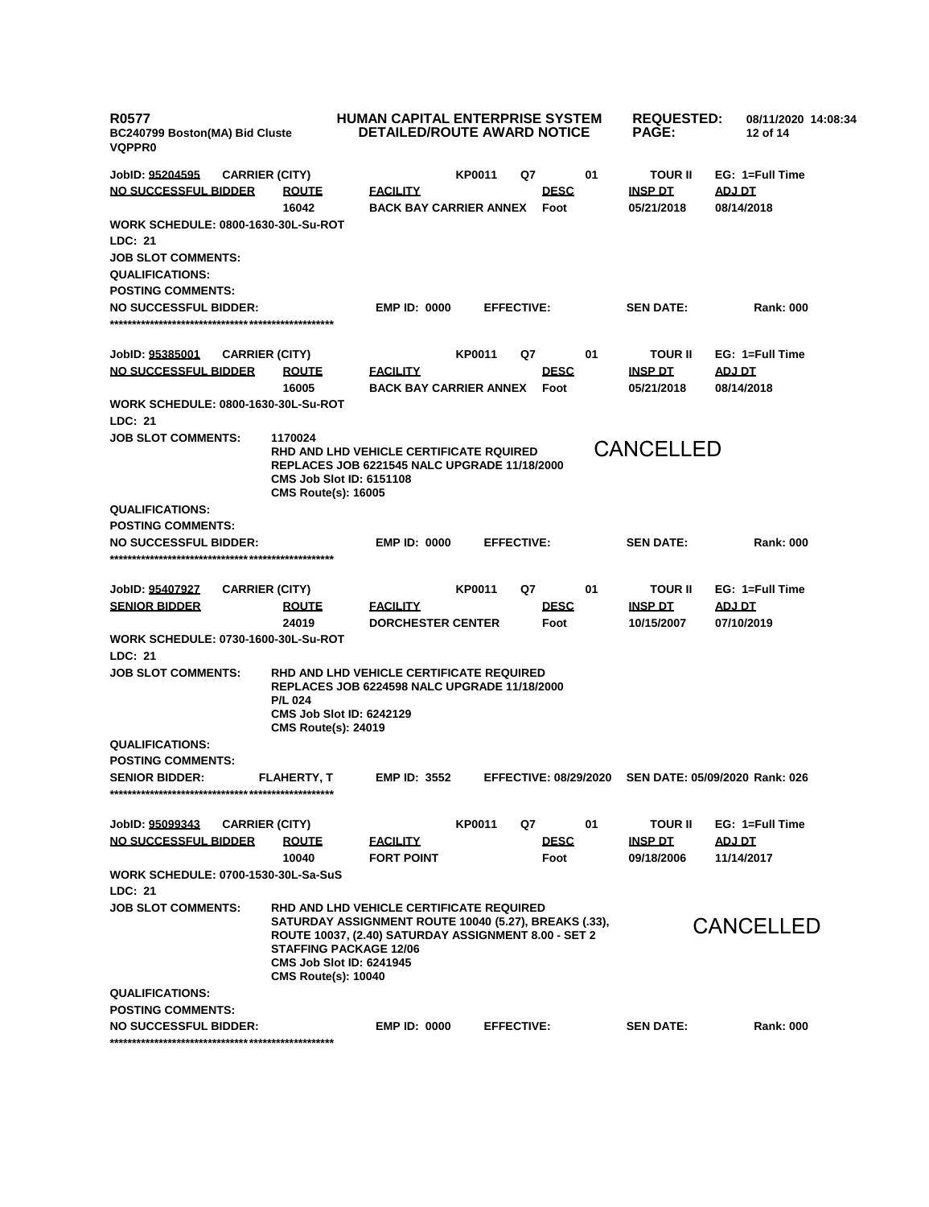**R0577 BC240799 Boston(MA) Bid Cluste VQPPR0 HUMAN CAPITAL ENTERPRISE SYSTEM DETAILED/ROUTE AWARD NOTICE REQUESTED: PAGE: 08/11/2020 14:08:34 12 of 14 JobID: 95204595 CARRIER (CITY) KP0011 Q7 01 TOUR II EG: 1=Full Time NO SUCCESSFUL BIDDER ROUTE FACILITY DESC INSP DT ADJ DT 16042 BACK BAY CARRIER ANNEX Foot 05/21/2018 08/14/2018 WORK SCHEDULE: 0800-1630-30L-Su-ROT LDC: 21 JOB SLOT COMMENTS: QUALIFICATIONS: POSTING COMMENTS: NO SUCCESSFUL BIDDER: EMP ID: 0000 EFFECTIVE: SEN DATE: Rank: 000 \*\*\*\*\*\*\*\*\*\*\*\*\*\*\*\*\*\*\*\*\*\*\*\*\*\*\*\*\*\*\*\*\*\*\*\*\*\*\*\*\*\*\*\*\*\*\*\*\*\* JobID: 95385001 CARRIER (CITY) KP0011 Q7 01 TOUR II EG: 1=Full Time NO SUCCESSFUL BIDDER ROUTE FACILITY DESC INSP DT ADJ DT 16005 BACK BAY CARRIER ANNEX Foot 05/21/2018 08/14/2018 WORK SCHEDULE: 0800-1630-30L-Su-ROT LDC: 21 JOB SLOT COMMENTS: 1170024 RHD AND LHD VEHICLE CERTIFICATE RQUIRED REPLACES JOB 6221545 NALC UPGRADE 11/18/2000 CMS Job Slot ID: 6151108 CMS Route(s): 16005 QUALIFICATIONS: POSTING COMMENTS: NO SUCCESSFUL BIDDER: EMP ID: 0000 EFFECTIVE: SEN DATE: Rank: 000 \*\*\*\*\*\*\*\*\*\*\*\*\*\*\*\*\*\*\*\*\*\*\*\*\*\*\*\*\*\*\*\*\*\*\*\*\*\*\*\*\*\*\*\*\*\*\*\*\*\* JobID: 95407927 CARRIER (CITY) KP0011 Q7 01 TOUR II EG: 1=Full Time SENIOR BIDDER ROUTE FACILITY DESC INSP DT ADJ DT 24019 DORCHESTER CENTER Foot 10/15/2007 07/10/2019 WORK SCHEDULE: 0730-1600-30L-Su-ROT LDC: 21 JOB SLOT COMMENTS: RHD AND LHD VEHICLE CERTIFICATE REQUIRED REPLACES JOB 6224598 NALC UPGRADE 11/18/2000 P/L 024 CMS Job Slot ID: 6242129 CMS Route(s): 24019 QUALIFICATIONS: POSTING COMMENTS: SENIOR BIDDER: FLAHERTY, T EMP ID: 3552 EFFECTIVE: 08/29/2020 SEN DATE: 05/09/2020 Rank: 026 \*\*\*\*\*\*\*\*\*\*\*\*\*\*\*\*\*\*\*\*\*\*\*\*\*\*\*\*\*\*\*\*\*\*\*\*\*\*\*\*\*\*\*\*\*\*\*\*\*\* JobID: 95099343 CARRIER (CITY) KP0011 Q7 01 TOUR II EG: 1=Full Time NO SUCCESSFUL BIDDER ROUTE FACILITY DESC INSP DT ADJ DT 10040 FORT POINT Foot 09/18/2006 11/14/2017 WORK SCHEDULE: 0700-1530-30L-Sa-SuS LDC: 21 JOB SLOT COMMENTS: RHD AND LHD VEHICLE CERTIFICATE REQUIRED SATURDAY ASSIGNMENT ROUTE 10040 (5.27), BREAKS (.33), ROUTE 10037, (2.40) SATURDAY ASSIGNMENT 8.00 - SET 2 STAFFING PACKAGE 12/06 CMS Job Slot ID: 6241945 CMS Route(s): 10040 QUALIFICATIONS: POSTING COMMENTS: NO SUCCESSFUL BIDDER: EMP ID: 0000 EFFECTIVE: SEN DATE: Rank: 000 \*\*\*\*\*\*\*\*\*\*\*\*\*\*\*\*\*\*\*\*\*\*\*\*\*\*\*\*\*\*\*\*\*\*\*\*\*\*\*\*\*\*\*\*\*\*\*\*\*\*** CANCELLED CANCELLED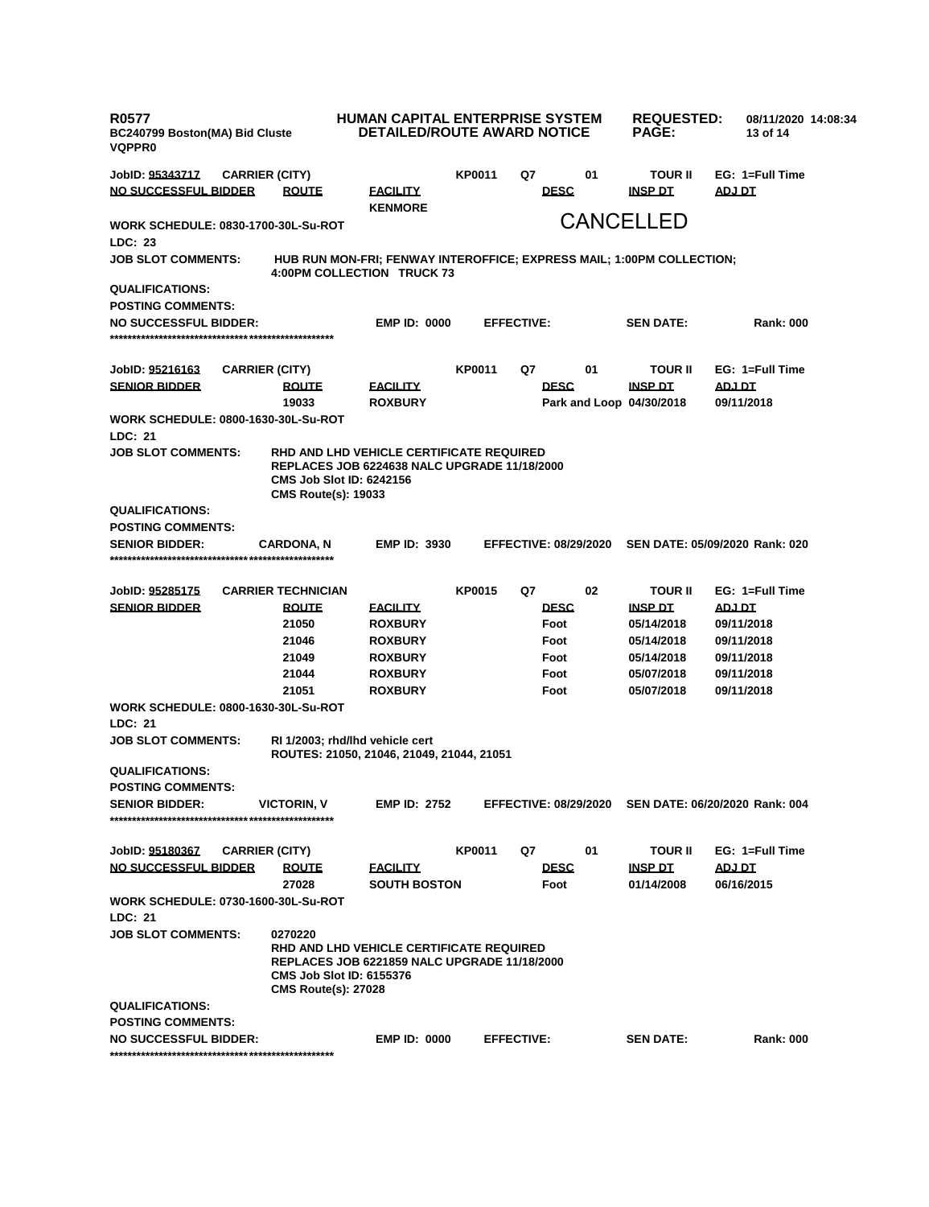| <b>R0577</b><br>BC240799 Boston(MA) Bid Cluste<br><b>VQPPR0</b> |  |                                                                                                                                                                  |                                                                                                 | HUMAN CAPITAL ENTERPRISE SYSTEM<br><b>REQUESTED:</b><br>08/11/2020 14:08:34<br><b>DETAILED/ROUTE AWARD NOTICE</b><br><b>PAGE:</b><br>13 of 14 |                              |             |    |                          |                                |
|-----------------------------------------------------------------|--|------------------------------------------------------------------------------------------------------------------------------------------------------------------|-------------------------------------------------------------------------------------------------|-----------------------------------------------------------------------------------------------------------------------------------------------|------------------------------|-------------|----|--------------------------|--------------------------------|
| JobID: <u>95343717</u>                                          |  | <b>CARRIER (CITY)</b>                                                                                                                                            |                                                                                                 | KP0011                                                                                                                                        | Q7                           |             | 01 | <b>TOUR II</b>           | EG: 1=Full Time                |
| NO SUCCESSFUL BIDDER                                            |  | <b>ROUTE</b>                                                                                                                                                     | <b>FACILITY</b><br><b>KENMORE</b>                                                               |                                                                                                                                               |                              | <b>DESC</b> |    | <b>INSP DT</b>           | <b>ADJ DT</b>                  |
| <b>WORK SCHEDULE: 0830-1700-30L-Su-ROT</b><br><b>LDC: 23</b>    |  |                                                                                                                                                                  |                                                                                                 |                                                                                                                                               |                              |             |    | <b>CANCELLED</b>         |                                |
| <b>JOB SLOT COMMENTS:</b>                                       |  | HUB RUN MON-FRI; FENWAY INTEROFFICE; EXPRESS MAIL; 1:00PM COLLECTION;<br>4:00PM COLLECTION TRUCK 73                                                              |                                                                                                 |                                                                                                                                               |                              |             |    |                          |                                |
| <b>QUALIFICATIONS:</b>                                          |  |                                                                                                                                                                  |                                                                                                 |                                                                                                                                               |                              |             |    |                          |                                |
| <b>POSTING COMMENTS:</b>                                        |  |                                                                                                                                                                  |                                                                                                 |                                                                                                                                               |                              |             |    |                          |                                |
| <b>NO SUCCESSFUL BIDDER:</b>                                    |  |                                                                                                                                                                  | <b>EMP ID: 0000</b>                                                                             |                                                                                                                                               | <b>EFFECTIVE:</b>            |             |    | <b>SEN DATE:</b>         | <b>Rank: 000</b>               |
|                                                                 |  |                                                                                                                                                                  |                                                                                                 |                                                                                                                                               |                              |             |    |                          |                                |
| JobID: <u>95216163</u>                                          |  | <b>CARRIER (CITY)</b>                                                                                                                                            |                                                                                                 | KP0011                                                                                                                                        | Q7                           |             | 01 | <b>TOUR II</b>           | EG: 1=Full Time                |
| <b>SENIOR BIDDER</b>                                            |  | <b>ROUTE</b>                                                                                                                                                     | <b>FACILITY</b>                                                                                 |                                                                                                                                               |                              | <b>DESC</b> |    | <b>INSP DT</b>           | ADJ DT                         |
|                                                                 |  | 19033                                                                                                                                                            | <b>ROXBURY</b>                                                                                  |                                                                                                                                               |                              |             |    | Park and Loop 04/30/2018 | 09/11/2018                     |
| <b>WORK SCHEDULE: 0800-1630-30L-Su-ROT</b><br>LDC: 21           |  |                                                                                                                                                                  |                                                                                                 |                                                                                                                                               |                              |             |    |                          |                                |
| <b>JOB SLOT COMMENTS:</b>                                       |  | RHD AND LHD VEHICLE CERTIFICATE REQUIRED<br><b>REPLACES JOB 6224638 NALC UPGRADE 11/18/2000</b><br><b>CMS Job Slot ID: 6242156</b><br><b>CMS Route(s): 19033</b> |                                                                                                 |                                                                                                                                               |                              |             |    |                          |                                |
| <b>QUALIFICATIONS:</b>                                          |  |                                                                                                                                                                  |                                                                                                 |                                                                                                                                               |                              |             |    |                          |                                |
| <b>POSTING COMMENTS:</b>                                        |  |                                                                                                                                                                  |                                                                                                 |                                                                                                                                               |                              |             |    |                          |                                |
| <b>SENIOR BIDDER:</b>                                           |  | <b>CARDONA, N</b>                                                                                                                                                | <b>EMP ID: 3930</b>                                                                             |                                                                                                                                               | <b>EFFECTIVE: 08/29/2020</b> |             |    |                          | SEN DATE: 05/09/2020 Rank: 020 |
|                                                                 |  |                                                                                                                                                                  |                                                                                                 |                                                                                                                                               |                              |             |    |                          |                                |
| JobID: <u>95285175</u>                                          |  | <b>CARRIER TECHNICIAN</b>                                                                                                                                        |                                                                                                 | KP0015                                                                                                                                        | Q7                           |             | 02 | <b>TOUR II</b>           | EG: 1=Full Time                |
| <b>SENIOR BIDDER</b>                                            |  | <b>ROUTE</b>                                                                                                                                                     | <b>FACILITY</b>                                                                                 |                                                                                                                                               |                              | <b>DESC</b> |    | <b>INSP DT</b>           | <b>ADJ DT</b>                  |
|                                                                 |  | 21050                                                                                                                                                            | <b>ROXBURY</b>                                                                                  |                                                                                                                                               |                              | Foot        |    | 05/14/2018               | 09/11/2018                     |
|                                                                 |  | 21046                                                                                                                                                            | <b>ROXBURY</b>                                                                                  |                                                                                                                                               |                              | Foot        |    | 05/14/2018               | 09/11/2018                     |
|                                                                 |  | 21049                                                                                                                                                            | <b>ROXBURY</b>                                                                                  |                                                                                                                                               |                              | Foot        |    | 05/14/2018               | 09/11/2018                     |
|                                                                 |  | 21044                                                                                                                                                            | <b>ROXBURY</b>                                                                                  |                                                                                                                                               |                              | Foot        |    | 05/07/2018               | 09/11/2018                     |
|                                                                 |  | 21051                                                                                                                                                            | <b>ROXBURY</b>                                                                                  |                                                                                                                                               |                              | Foot        |    | 05/07/2018               | 09/11/2018                     |
| <b>WORK SCHEDULE: 0800-1630-30L-Su-ROT</b>                      |  |                                                                                                                                                                  |                                                                                                 |                                                                                                                                               |                              |             |    |                          |                                |
| LDC: 21                                                         |  |                                                                                                                                                                  |                                                                                                 |                                                                                                                                               |                              |             |    |                          |                                |
| <b>JOB SLOT COMMENTS:</b>                                       |  | RI 1/2003; rhd/lhd vehicle cert<br>ROUTES: 21050, 21046, 21049, 21044, 21051                                                                                     |                                                                                                 |                                                                                                                                               |                              |             |    |                          |                                |
| <b>QUALIFICATIONS:</b>                                          |  |                                                                                                                                                                  |                                                                                                 |                                                                                                                                               |                              |             |    |                          |                                |
| <b>POSTING COMMENTS:</b>                                        |  |                                                                                                                                                                  |                                                                                                 |                                                                                                                                               |                              |             |    |                          |                                |
| <b>SENIOR BIDDER:</b>                                           |  | <b>VICTORIN, V</b>                                                                                                                                               | <b>EMP ID: 2752</b>                                                                             |                                                                                                                                               | <b>EFFECTIVE: 08/29/2020</b> |             |    |                          | SEN DATE: 06/20/2020 Rank: 004 |
|                                                                 |  |                                                                                                                                                                  |                                                                                                 |                                                                                                                                               |                              |             |    |                          |                                |
| JobID: 95180367                                                 |  | <b>CARRIER (CITY)</b>                                                                                                                                            |                                                                                                 | KP0011                                                                                                                                        | Q7                           |             | 01 | <b>TOUR II</b>           | EG: 1=Full Time                |
| <b>NO SUCCESSFUL BIDDER</b>                                     |  | <b>ROUTE</b>                                                                                                                                                     | <b>FACILITY</b>                                                                                 |                                                                                                                                               |                              | <b>DESC</b> |    | <b>INSP DT</b>           | <u>ADJ DT</u>                  |
|                                                                 |  | 27028                                                                                                                                                            | <b>SOUTH BOSTON</b>                                                                             |                                                                                                                                               |                              | Foot        |    | 01/14/2008               | 06/16/2015                     |
| WORK SCHEDULE: 0730-1600-30L-Su-ROT<br>LDC: 21                  |  |                                                                                                                                                                  |                                                                                                 |                                                                                                                                               |                              |             |    |                          |                                |
| <b>JOB SLOT COMMENTS:</b>                                       |  | 0270220                                                                                                                                                          |                                                                                                 |                                                                                                                                               |                              |             |    |                          |                                |
|                                                                 |  | <b>CMS Job Slot ID: 6155376</b><br><b>CMS Route(s): 27028</b>                                                                                                    | RHD AND LHD VEHICLE CERTIFICATE REQUIRED<br><b>REPLACES JOB 6221859 NALC UPGRADE 11/18/2000</b> |                                                                                                                                               |                              |             |    |                          |                                |
| <b>QUALIFICATIONS:</b>                                          |  |                                                                                                                                                                  |                                                                                                 |                                                                                                                                               |                              |             |    |                          |                                |
| <b>POSTING COMMENTS:</b>                                        |  |                                                                                                                                                                  |                                                                                                 |                                                                                                                                               |                              |             |    |                          |                                |
| <b>NO SUCCESSFUL BIDDER:</b>                                    |  |                                                                                                                                                                  | <b>EMP ID: 0000</b>                                                                             |                                                                                                                                               | <b>EFFECTIVE:</b>            |             |    | <b>SEN DATE:</b>         | <b>Rank: 000</b>               |